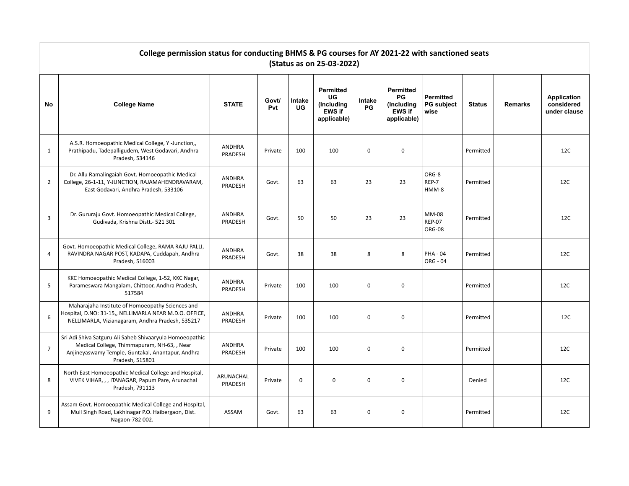|                | College permission status for conducting BHMS & PG courses for AY 2021-22 with sanctioned seats<br>(Status as on 25-03-2022)                                                    |                          |              |              |                                                                      |                     |                                                                      |                                               |               |                |                                           |  |  |  |
|----------------|---------------------------------------------------------------------------------------------------------------------------------------------------------------------------------|--------------------------|--------------|--------------|----------------------------------------------------------------------|---------------------|----------------------------------------------------------------------|-----------------------------------------------|---------------|----------------|-------------------------------------------|--|--|--|
| No             | <b>College Name</b>                                                                                                                                                             | <b>STATE</b>             | Govt/<br>Pvt | Intake<br>UG | <b>Permitted</b><br>UG<br>(Including<br><b>EWS if</b><br>applicable) | Intake<br><b>PG</b> | <b>Permitted</b><br>PG<br>(Including<br><b>EWS if</b><br>applicable) | <b>Permitted</b><br><b>PG</b> subject<br>wise | <b>Status</b> | <b>Remarks</b> | Application<br>considered<br>under clause |  |  |  |
| $\mathbf{1}$   | A.S.R. Homoeopathic Medical College, Y -Junction,,<br>Prathipadu, Tadepalligudem, West Godavari, Andhra<br>Pradesh, 534146                                                      | ANDHRA<br>PRADESH        | Private      | 100          | 100                                                                  | $\mathbf 0$         | $\mathbf 0$                                                          |                                               | Permitted     |                | 12C                                       |  |  |  |
| $\overline{2}$ | Dr. Allu Ramalingaiah Govt. Homoeopathic Medical<br>College, 26-1-11, Y-JUNCTION, RAJAMAHENDRAVARAM,<br>East Godavari, Andhra Pradesh, 533106                                   | <b>ANDHRA</b><br>PRADESH | Govt.        | 63           | 63                                                                   | 23                  | 23                                                                   | ORG-8<br>REP-7<br>HMM-8                       | Permitted     |                | 12C                                       |  |  |  |
| 3              | Dr. Gururaju Govt. Homoeopathic Medical College,<br>Gudivada, Krishna Distt.- 521 301                                                                                           | ANDHRA<br>PRADESH        | Govt.        | 50           | 50                                                                   | 23                  | 23                                                                   | MM-08<br><b>REP-07</b><br><b>ORG-08</b>       | Permitted     |                | 12C                                       |  |  |  |
| 4              | Govt. Homoeopathic Medical College, RAMA RAJU PALLI,<br>RAVINDRA NAGAR POST, KADAPA, Cuddapah, Andhra<br>Pradesh, 516003                                                        | ANDHRA<br>PRADESH        | Govt.        | 38           | 38                                                                   | 8                   | 8                                                                    | <b>PHA - 04</b><br>ORG - 04                   | Permitted     |                | 12C                                       |  |  |  |
| 5              | KKC Homoeopathic Medical College, 1-52, KKC Nagar,<br>Parameswara Mangalam, Chittoor, Andhra Pradesh,<br>517584                                                                 | ANDHRA<br>PRADESH        | Private      | 100          | 100                                                                  | $\mathbf 0$         | $\mathbf 0$                                                          |                                               | Permitted     |                | 12C                                       |  |  |  |
| 6              | Maharajaha Institute of Homoeopathy Sciences and<br>Hospital, D.NO: 31-15,, NELLIMARLA NEAR M.D.O. OFFICE,<br>NELLIMARLA, Vizianagaram, Andhra Pradesh, 535217                  | <b>ANDHRA</b><br>PRADESH | Private      | 100          | 100                                                                  | $\mathbf 0$         | $\mathbf 0$                                                          |                                               | Permitted     |                | 12C                                       |  |  |  |
| $\overline{7}$ | Sri Adi Shiva Satguru Ali Saheb Shivaaryula Homoeopathic<br>Medical College, Thimmapuram, NH-63, , Near<br>Anjineyaswamy Temple, Guntakal, Anantapur, Andhra<br>Pradesh, 515801 | <b>ANDHRA</b><br>PRADESH | Private      | 100          | 100                                                                  | $\mathbf 0$         | $\mathbf 0$                                                          |                                               | Permitted     |                | 12C                                       |  |  |  |
| 8              | North East Homoeopathic Medical College and Hospital,<br>VIVEK VIHAR, , , ITANAGAR, Papum Pare, Arunachal<br>Pradesh, 791113                                                    | ARUNACHAL<br>PRADESH     | Private      | $\mathbf 0$  | $\mathbf{0}$                                                         | $\mathbf 0$         | $\mathbf 0$                                                          |                                               | Denied        |                | 12C                                       |  |  |  |
| 9              | Assam Govt. Homoeopathic Medical College and Hospital,<br>Mull Singh Road, Lakhinagar P.O. Haibergaon, Dist.<br>Nagaon-782 002.                                                 | ASSAM                    | Govt.        | 63           | 63                                                                   | 0                   | $\mathbf 0$                                                          |                                               | Permitted     |                | 12C                                       |  |  |  |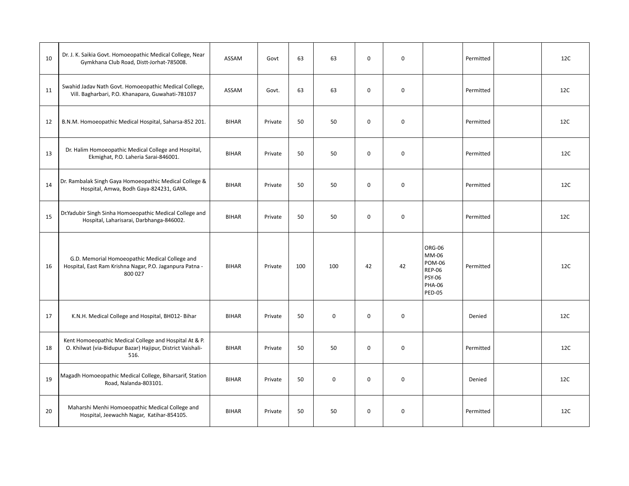| 10 | Dr. J. K. Saikia Govt. Homoeopathic Medical College, Near<br>Gymkhana Club Road, Distt-Jorhat-785008.                        | ASSAM        | Govt    | 63  | 63  | $\Omega$    | $\mathbf 0$ |                                                                                                      | Permitted | 12C |
|----|------------------------------------------------------------------------------------------------------------------------------|--------------|---------|-----|-----|-------------|-------------|------------------------------------------------------------------------------------------------------|-----------|-----|
| 11 | Swahid Jadav Nath Govt. Homoeopathic Medical College,<br>Vill. Bagharbari, P.O. Khanapara, Guwahati-781037                   | ASSAM        | Govt.   | 63  | 63  | $\mathbf 0$ | $\mathbf 0$ |                                                                                                      | Permitted | 12C |
| 12 | B.N.M. Homoeopathic Medical Hospital, Saharsa-852 201.                                                                       | <b>BIHAR</b> | Private | 50  | 50  | $\Omega$    | $\mathbf 0$ |                                                                                                      | Permitted | 12C |
| 13 | Dr. Halim Homoeopathic Medical College and Hospital,<br>Ekmighat, P.O. Laheria Sarai-846001.                                 | <b>BIHAR</b> | Private | 50  | 50  | $\mathbf 0$ | $\mathbf 0$ |                                                                                                      | Permitted | 12C |
| 14 | Dr. Rambalak Singh Gaya Homoeopathic Medical College &<br>Hospital, Amwa, Bodh Gaya-824231, GAYA.                            | <b>BIHAR</b> | Private | 50  | 50  | $\mathbf 0$ | $\mathbf 0$ |                                                                                                      | Permitted | 12C |
| 15 | Dr.Yadubir Singh Sinha Homoeopathic Medical College and<br>Hospital, Laharisarai, Darbhanga-846002.                          | <b>BIHAR</b> | Private | 50  | 50  | $\mathbf 0$ | $\mathbf 0$ |                                                                                                      | Permitted | 12C |
| 16 | G.D. Memorial Homoeopathic Medical College and<br>Hospital, East Ram Krishna Nagar, P.O. Jaganpura Patna -<br>800 027        | <b>BIHAR</b> | Private | 100 | 100 | 42          | 42          | ORG-06<br>MM-06<br><b>POM-06</b><br><b>REP-06</b><br><b>PSY-06</b><br><b>PHA-06</b><br><b>PED-05</b> | Permitted | 12C |
| 17 | K.N.H. Medical College and Hospital, BH012- Bihar                                                                            | <b>BIHAR</b> | Private | 50  | 0   | $\mathbf 0$ | $\mathbf 0$ |                                                                                                      | Denied    | 12C |
| 18 | Kent Homoeopathic Medical College and Hospital At & P.<br>O. Khilwat (via-Bidupur Bazar) Hajipur, District Vaishali-<br>516. | <b>BIHAR</b> | Private | 50  | 50  | $\mathbf 0$ | $\mathbf 0$ |                                                                                                      | Permitted | 12C |
| 19 | Magadh Homoeopathic Medical College, Biharsarif, Station<br>Road, Nalanda-803101.                                            | <b>BIHAR</b> | Private | 50  | 0   | $\mathbf 0$ | $\mathbf 0$ |                                                                                                      | Denied    | 12C |
| 20 | Maharshi Menhi Homoeopathic Medical College and<br>Hospital, Jeewachh Nagar, Katihar-854105.                                 | <b>BIHAR</b> | Private | 50  | 50  | $\mathbf 0$ | $\mathbf 0$ |                                                                                                      | Permitted | 12C |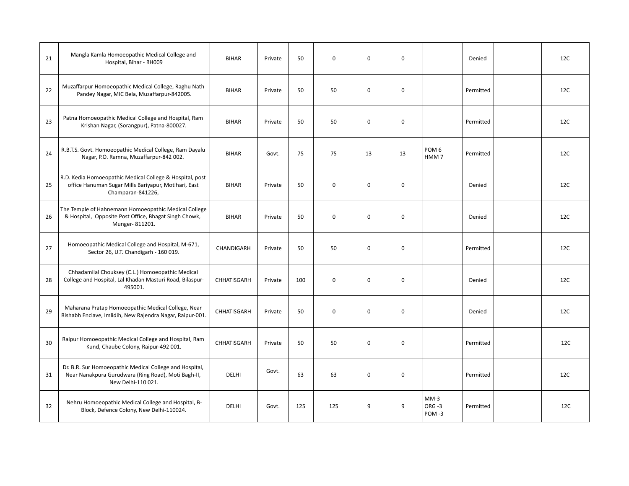| 21 | Mangla Kamla Homoeopathic Medical College and<br>Hospital, Bihar - BH009                                                              | <b>BIHAR</b> | Private | 50  | $\mathbf 0$ | $\Omega$    | $\mathbf 0$ |                                      | Denied    | 12C |
|----|---------------------------------------------------------------------------------------------------------------------------------------|--------------|---------|-----|-------------|-------------|-------------|--------------------------------------|-----------|-----|
| 22 | Muzaffarpur Homoeopathic Medical College, Raghu Nath<br>Pandey Nagar, MIC Bela, Muzaffarpur-842005.                                   | <b>BIHAR</b> | Private | 50  | 50          | $\mathbf 0$ | $\mathbf 0$ |                                      | Permitted | 12C |
| 23 | Patna Homoeopathic Medical College and Hospital, Ram<br>Krishan Nagar, (Sorangpur), Patna-800027.                                     | <b>BIHAR</b> | Private | 50  | 50          | $\mathbf 0$ | $\mathbf 0$ |                                      | Permitted | 12C |
| 24 | R.B.T.S. Govt. Homoeopathic Medical College, Ram Dayalu<br>Nagar, P.O. Ramna, Muzaffarpur-842 002.                                    | <b>BIHAR</b> | Govt.   | 75  | 75          | 13          | 13          | POM <sub>6</sub><br>HMM <sub>7</sub> | Permitted | 12C |
| 25 | R.D. Kedia Homoeopathic Medical College & Hospital, post<br>office Hanuman Sugar Mills Bariyapur, Motihari, East<br>Champaran-841226, | <b>BIHAR</b> | Private | 50  | $\mathbf 0$ | $\Omega$    | $\mathbf 0$ |                                      | Denied    | 12C |
| 26 | The Temple of Hahnemann Homoeopathic Medical College<br>& Hospital, Opposite Post Office, Bhagat Singh Chowk,<br>Munger-811201.       | <b>BIHAR</b> | Private | 50  | $\mathbf 0$ | $\mathbf 0$ | $\mathbf 0$ |                                      | Denied    | 12C |
| 27 | Homoeopathic Medical College and Hospital, M-671,<br>Sector 26, U.T. Chandigarh - 160 019.                                            | CHANDIGARH   | Private | 50  | 50          | $\Omega$    | $\mathbf 0$ |                                      | Permitted | 12C |
| 28 | Chhadamilal Chouksey (C.L.) Homoeopathic Medical<br>College and Hospital, Lal Khadan Masturi Road, Bilaspur-<br>495001.               | CHHATISGARH  | Private | 100 | $\mathbf 0$ | $\mathbf 0$ | $\mathbf 0$ |                                      | Denied    | 12C |
| 29 | Maharana Pratap Homoeopathic Medical College, Near<br>Rishabh Enclave, Imlidih, New Rajendra Nagar, Raipur-001.                       | CHHATISGARH  | Private | 50  | $\mathbf 0$ | $\Omega$    | $\mathbf 0$ |                                      | Denied    | 12C |
| 30 | Raipur Homoeopathic Medical College and Hospital, Ram<br>Kund, Chaube Colony, Raipur-492 001.                                         | CHHATISGARH  | Private | 50  | 50          | $\mathbf 0$ | $\mathbf 0$ |                                      | Permitted | 12C |
| 31 | Dr. B.R. Sur Homoeopathic Medical College and Hospital,<br>Near Nanakpura Gurudwara (Ring Road), Moti Bagh-II,<br>New Delhi-110 021.  | <b>DELHI</b> | Govt.   | 63  | 63          | $\mathbf 0$ | $\mathbf 0$ |                                      | Permitted | 12C |
| 32 | Nehru Homoeopathic Medical College and Hospital, B-<br>Block, Defence Colony, New Delhi-110024.                                       | <b>DELHI</b> | Govt.   | 125 | 125         | 9           | 9           | $MM-3$<br>ORG-3<br>POM-3             | Permitted | 12C |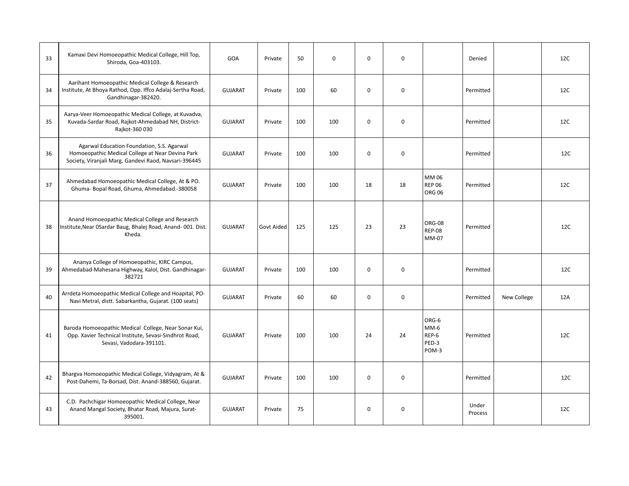| 33 | Kamaxi Devi Homoeopathic Medical College, Hill Top,<br>Shiroda, Goa-403103.                                                                             | <b>GOA</b>     | Private    | 50  | $\mathbf 0$ | $\mathbf 0$ | 0           |                                            | Denied           |             | 12C |
|----|---------------------------------------------------------------------------------------------------------------------------------------------------------|----------------|------------|-----|-------------|-------------|-------------|--------------------------------------------|------------------|-------------|-----|
| 34 | Aarihant Homoeopathic Medical College & Research<br>Institute, At Bhoya Rathod, Opp. Iffco Adalaj-Sertha Road,<br>Gandhinagar-382420.                   | <b>GUJARAT</b> | Private    | 100 | 60          | $\mathbf 0$ | $\mathbf 0$ |                                            | Permitted        |             | 12C |
| 35 | Aarya-Veer Homoeopathic Medical College, at Kuvadva,<br>Kuvada-Sardar Road, Rajkot-Ahmedabad NH, District-<br>Rajkot-360 030                            | <b>GUJARAT</b> | Private    | 100 | 100         | $\mathbf 0$ | $\mathbf 0$ |                                            | Permitted        |             | 12C |
| 36 | Agarwal Education Foundation, S.S. Agarwal<br>Homoeopathic Medical College at Near Devina Park<br>Society, Viranjali Marg, Gandevi Raod, Navsari-396445 | <b>GUJARAT</b> | Private    | 100 | 100         | $\mathbf 0$ | $\mathbf 0$ |                                            | Permitted        |             | 12C |
| 37 | Ahmedabad Homoeopathic Medical College, At & PO.<br>Ghuma- Bopal Road, Ghuma, Ahmedabad.-380058                                                         | <b>GUJARAT</b> | Private    | 100 | 100         | 18          | 18          | MM 06<br><b>REP 06</b><br><b>ORG 06</b>    | Permitted        |             | 12C |
| 38 | Anand Homoeopathic Medical College and Research<br>Institute, Near OSardar Baug, Bhalej Road, Anand- 001. Dist.<br>Kheda.                               | <b>GUJARAT</b> | Govt Aided | 125 | 125         | 23          | 23          | ORG-08<br><b>REP-08</b><br>MM-07           | Permitted        |             | 12C |
| 39 | Ananya College of Homoeopathic, KIRC Campus,<br>Ahmedabad-Mahesana Highway, Kalol, Dist. Gandhinagar-<br>382721                                         | <b>GUJARAT</b> | Private    | 100 | 100         | $\mathbf 0$ | $\mathbf 0$ |                                            | Permitted        |             | 12C |
| 40 | Arrdeta Homoeopathic Medical College and Hoapital, PO-<br>Navi Metral, distt. Sabarkantha, Gujarat. (100 seats)                                         | <b>GUJARAT</b> | Private    | 60  | 60          | $\mathbf 0$ | $\mathbf 0$ |                                            | Permitted        | New College | 12A |
| 41 | Baroda Homoeopathic Medical College, Near Sonar Kui,<br>Opp. Xavier Technical Institute, Sevasi-Sindhrot Road,<br>Sevasi, Vadodara-391101.              | <b>GUJARAT</b> | Private    | 100 | 100         | 24          | 24          | ORG-6<br>$MM-6$<br>REP-6<br>PED-3<br>POM-3 | Permitted        |             | 12C |
| 42 | Bhargva Homoeopathic Medical College, Vidyagram, At &<br>Post-Dahemi, Ta-Borsad, Dist. Anand-388560, Gujarat.                                           | <b>GUJARAT</b> | Private    | 100 | 100         | $\mathbf 0$ | $\mathbf 0$ |                                            | Permitted        |             | 12C |
| 43 | C.D. Pachchigar Homoeopathic Medical College, Near<br>Anand Mangal Society, Bhatar Road, Majura, Surat-<br>395001.                                      | <b>GUJARAT</b> | Private    | 75  |             | $\mathbf 0$ | $\mathbf 0$ |                                            | Under<br>Process |             | 12C |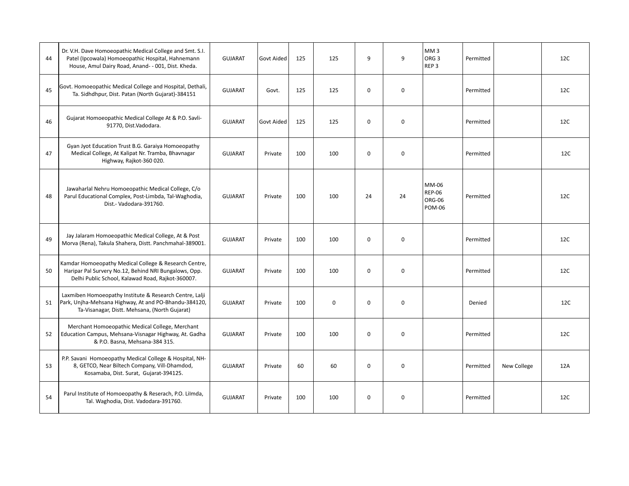| 44 | Dr. V.H. Dave Homoeopathic Medical College and Smt. S.I.<br>Patel (Ipcowala) Homoeopathic Hospital, Hahnemann<br>House, Amul Dairy Road, Anand- - 001, Dist. Kheda. | <b>GUJARAT</b> | <b>Govt Aided</b> | 125 | 125       | 9           | 9                | MM <sub>3</sub><br>ORG <sub>3</sub><br>REP <sub>3</sub> | Permitted |             | 12C |
|----|---------------------------------------------------------------------------------------------------------------------------------------------------------------------|----------------|-------------------|-----|-----------|-------------|------------------|---------------------------------------------------------|-----------|-------------|-----|
| 45 | Govt. Homoeopathic Medical College and Hospital, Dethali,<br>Ta. Sidhdhpur, Dist. Patan (North Gujarat)-384151                                                      | <b>GUJARAT</b> | Govt.             | 125 | 125       | $\mathbf 0$ | $\mathbf 0$      |                                                         | Permitted |             | 12C |
| 46 | Gujarat Homoeopathic Medical College At & P.O. Savli-<br>91770, Dist.Vadodara.                                                                                      | <b>GUJARAT</b> | Govt Aided        | 125 | 125       | $\mathbf 0$ | $\mathbf 0$      |                                                         | Permitted |             | 12C |
| 47 | Gyan Jyot Education Trust B.G. Garaiya Homoeopathy<br>Medical College, At Kalipat Nr. Tramba, Bhavnagar<br>Highway, Rajkot-360 020.                                 | <b>GUJARAT</b> | Private           | 100 | 100       | $\mathbf 0$ | $\mathbf 0$      |                                                         | Permitted |             | 12C |
| 48 | Jawaharlal Nehru Homoeopathic Medical College, C/o<br>Parul Educational Complex, Post-Limbda, Tal-Waghodia,<br>Dist.- Vadodara-391760.                              | <b>GUJARAT</b> | Private           | 100 | 100       | 24          | 24               | MM-06<br><b>REP-06</b><br>ORG-06<br><b>POM-06</b>       | Permitted |             | 12C |
| 49 | Jay Jalaram Homoeopathic Medical College, At & Post<br>Morva (Rena), Takula Shahera, Distt. Panchmahal-389001.                                                      | <b>GUJARAT</b> | Private           | 100 | 100       | $\mathbf 0$ | $\mathbf 0$      |                                                         | Permitted |             | 12C |
| 50 | Kamdar Homoeopathy Medical College & Research Centre,<br>Haripar Pal Survery No.12, Behind NRI Bungalows, Opp.<br>Delhi Public School, Kalawad Road, Rajkot-360007. | <b>GUJARAT</b> | Private           | 100 | 100       | $\mathbf 0$ | $\mathbf 0$      |                                                         | Permitted |             | 12C |
| 51 | Laxmiben Homoeopathy Institute & Research Centre, Lalji<br>Park, Unjha-Mehsana Highway, At and PO-Bhandu-384120,<br>Ta-Visanagar, Distt. Mehsana, (North Gujarat)   | <b>GUJARAT</b> | Private           | 100 | $\pmb{0}$ | $\mathbf 0$ | $\mathbf 0$      |                                                         | Denied    |             | 12C |
| 52 | Merchant Homoeopathic Medical College, Merchant<br>Education Campus, Mehsana-Visnagar Highway, At. Gadha<br>& P.O. Basna, Mehsana-384 315.                          | <b>GUJARAT</b> | Private           | 100 | 100       | $\mathbf 0$ | $\mathbf 0$      |                                                         | Permitted |             | 12C |
| 53 | P.P. Savani Homoeopathy Medical College & Hospital, NH-<br>8, GETCO, Near Biltech Company, Vill-Dhamdod,<br>Kosamaba, Dist. Surat, Gujarat-394125.                  | <b>GUJARAT</b> | Private           | 60  | 60        | $\mathbf 0$ | $\mathbf 0$      |                                                         | Permitted | New College | 12A |
| 54 | Parul Institute of Homoeopathy & Reserach, P.O. Lilmda,<br>Tal. Waghodia, Dist. Vadodara-391760.                                                                    | <b>GUJARAT</b> | Private           | 100 | 100       | 0           | $\boldsymbol{0}$ |                                                         | Permitted |             | 12C |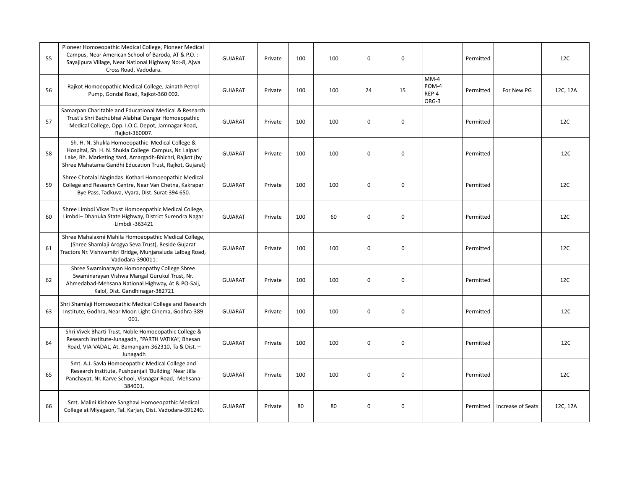| 55 | Pioneer Homoeopathic Medical College, Pioneer Medical<br>Campus, Near American School of Baroda, AT & P.O. :-<br>Sayajipura Village, Near National Highway No:-8, Ajwa<br>Cross Road, Vadodara.                                | <b>GUJARAT</b> | Private | 100 | 100 | $\mathbf 0$ | $\mathbf 0$ |                                   | Permitted |                   | 12C      |
|----|--------------------------------------------------------------------------------------------------------------------------------------------------------------------------------------------------------------------------------|----------------|---------|-----|-----|-------------|-------------|-----------------------------------|-----------|-------------------|----------|
| 56 | Rajkot Homoeopathic Medical College, Jainath Petrol<br>Pump, Gondal Road, Rajkot-360 002.                                                                                                                                      | <b>GUJARAT</b> | Private | 100 | 100 | 24          | 15          | $MM-4$<br>POM-4<br>REP-4<br>ORG-3 | Permitted | For New PG        | 12C, 12A |
| 57 | Samarpan Charitable and Educational Medical & Research<br>Trust's Shri Bachubhai Alabhai Danger Homoeopathic<br>Medical College, Opp. I.O.C. Depot, Jamnagar Road,<br>Rajkot-360007.                                           | <b>GUJARAT</b> | Private | 100 | 100 | $\mathbf 0$ | 0           |                                   | Permitted |                   | 12C      |
| 58 | Sh. H. N. Shukla Homoeopathic Medical College &<br>Hospital, Sh. H. N. Shukla College Campus, Nr. Lalpari<br>Lake, Bh. Marketing Yard, Amargadh-Bhichri, Rajkot (by<br>Shree Mahatama Gandhi Education Trust, Rajkot, Gujarat) | <b>GUJARAT</b> | Private | 100 | 100 | 0           | 0           |                                   | Permitted |                   | 12C      |
| 59 | Shree Chotalal Nagindas Kothari Homoeopathic Medical<br>College and Research Centre, Near Van Chetna, Kakrapar<br>Bye Pass, Tadkuva, Vyara, Dist. Surat-394 650.                                                               | <b>GUJARAT</b> | Private | 100 | 100 | $\mathbf 0$ | $\mathbf 0$ |                                   | Permitted |                   | 12C      |
| 60 | Shree Limbdi Vikas Trust Homoeopathic Medical College,<br>Limbdi- Dhanuka State Highway, District Surendra Nagar<br>Limbdi -363421                                                                                             | <b>GUJARAT</b> | Private | 100 | 60  | $\mathbf 0$ | $\mathbf 0$ |                                   | Permitted |                   | 12C      |
| 61 | Shree Mahalaxmi Mahila Homoeopathic Medical College,<br>(Shree Shamlaji Arogya Seva Trust), Beside Gujarat<br>Tractors Nr. Vishwamitri Bridge, Munjanaluda Lalbag Road,<br>Vadodara-390011.                                    | <b>GUJARAT</b> | Private | 100 | 100 | $\mathbf 0$ | $\mathbf 0$ |                                   | Permitted |                   | 12C      |
| 62 | Shree Swaminarayan Homoeopathy College Shree<br>Swaminarayan Vishwa Mangal Gurukul Trust, Nr.<br>Ahmedabad-Mehsana National Highway, At & PO-Saij,<br>Kalol, Dist. Gandhinagar-382721                                          | <b>GUJARAT</b> | Private | 100 | 100 | $\mathbf 0$ | $\mathbf 0$ |                                   | Permitted |                   | 12C      |
| 63 | Shri Shamlaji Homoeopathic Medical College and Research<br>Institute, Godhra, Near Moon Light Cinema, Godhra-389<br>001.                                                                                                       | <b>GUJARAT</b> | Private | 100 | 100 | $\mathbf 0$ | $\mathbf 0$ |                                   | Permitted |                   | 12C      |
| 64 | Shri Vivek Bharti Trust, Noble Homoeopathic College &<br>Research Institute-Junagadh, "PARTH VATIKA", Bhesan<br>Road, VIA-VADAL, At. Bamangam-362310, Ta & Dist. -<br>Junagadh                                                 | <b>GUJARAT</b> | Private | 100 | 100 | $\mathbf 0$ | $\mathbf 0$ |                                   | Permitted |                   | 12C      |
| 65 | Smt. A.J. Savla Homoeopathic Medical College and<br>Research Institute, Pushpanjali 'Building' Near Jilla<br>Panchayat, Nr. Karve School, Visnagar Road, Mehsana-<br>384001.                                                   | <b>GUJARAT</b> | Private | 100 | 100 | $\mathbf 0$ | 0           |                                   | Permitted |                   | 12C      |
| 66 | Smt. Malini Kishore Sanghavi Homoeopathic Medical<br>College at Miyagaon, Tal. Karjan, Dist. Vadodara-391240.                                                                                                                  | <b>GUJARAT</b> | Private | 80  | 80  | 0           | $\mathbf 0$ |                                   | Permitted | Increase of Seats | 12C, 12A |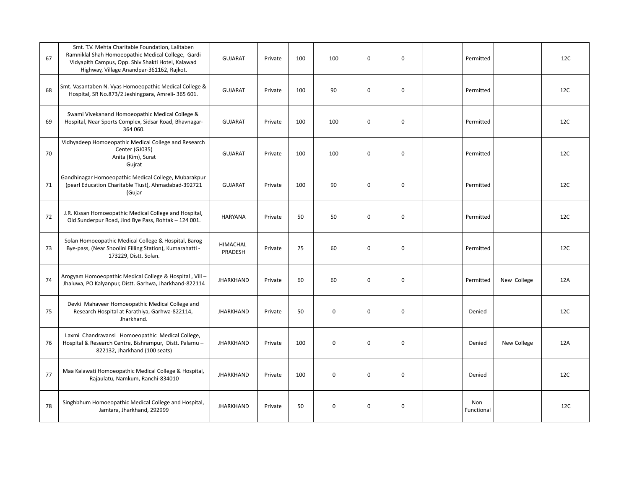| 67 | Smt. T.V. Mehta Charitable Foundation, Lalitaben<br>Ramniklal Shah Homoeopathic Medical College, Gardi<br>Vidyapith Campus, Opp. Shiv Shakti Hotel, Kalawad<br>Highway, Village Anandpar-361162, Rajkot. | <b>GUJARAT</b>             | Private | 100 | 100         | $\mathbf 0$ | $\mathbf 0$ | Permitted         |             | 12C |
|----|----------------------------------------------------------------------------------------------------------------------------------------------------------------------------------------------------------|----------------------------|---------|-----|-------------|-------------|-------------|-------------------|-------------|-----|
| 68 | Smt. Vasantaben N. Vyas Homoeopathic Medical College &<br>Hospital, SR No.873/2 Jeshingpara, Amreli-365 601.                                                                                             | <b>GUJARAT</b>             | Private | 100 | 90          | $\Omega$    | $\mathbf 0$ | Permitted         |             | 12C |
| 69 | Swami Vivekanand Homoeopathic Medical College &<br>Hospital, Near Sports Complex, Sidsar Road, Bhavnagar-<br>364 060.                                                                                    | <b>GUJARAT</b>             | Private | 100 | 100         | $\mathbf 0$ | $\mathbf 0$ | Permitted         |             | 12C |
| 70 | Vidhyadeep Homoeopathic Medical College and Research<br>Center (GJ035)<br>Anita (Kim), Surat<br>Gujrat                                                                                                   | <b>GUJARAT</b>             | Private | 100 | 100         | $\mathbf 0$ | $\mathbf 0$ | Permitted         |             | 12C |
| 71 | Gandhinagar Homoeopathic Medical College, Mubarakpur<br>(pearl Education Charitable Tiust), Ahmadabad-392721<br>(Gujar                                                                                   | <b>GUJARAT</b>             | Private | 100 | 90          | $\mathbf 0$ | $\mathbf 0$ | Permitted         |             | 12C |
| 72 | J.R. Kissan Homoeopathic Medical College and Hospital,<br>Old Sunderpur Road, Jind Bye Pass, Rohtak - 124 001.                                                                                           | <b>HARYANA</b>             | Private | 50  | 50          | $\Omega$    | $\mathbf 0$ | Permitted         |             | 12C |
| 73 | Solan Homoeopathic Medical College & Hospital, Barog<br>Bye-pass, (Near Shoolini Filling Station), Kumarahatti -<br>173229, Distt. Solan.                                                                | <b>HIMACHAL</b><br>PRADESH | Private | 75  | 60          | $\mathbf 0$ | $\mathbf 0$ | Permitted         |             | 12C |
| 74 | Arogyam Homoeopathic Medical College & Hospital, Vill -<br>Jhaluwa, PO Kalyanpur, Distt. Garhwa, Jharkhand-822114                                                                                        | <b>JHARKHAND</b>           | Private | 60  | 60          | $\mathbf 0$ | $\mathbf 0$ | Permitted         | New College | 12A |
| 75 | Devki Mahaveer Homoeopathic Medical College and<br>Research Hospital at Farathiya, Garhwa-822114,<br>Jharkhand.                                                                                          | <b>JHARKHAND</b>           | Private | 50  | 0           | 0           | 0           | Denied            |             | 12C |
| 76 | Laxmi Chandravansi Homoeopathic Medical College,<br>Hospital & Research Centre, Bishrampur, Distt. Palamu-<br>822132, Jharkhand (100 seats)                                                              | <b>JHARKHAND</b>           | Private | 100 | 0           | $\mathbf 0$ | $\mathbf 0$ | Denied            | New College | 12A |
| 77 | Maa Kalawati Homoeopathic Medical College & Hospital,<br>Rajaulatu, Namkum, Ranchi-834010                                                                                                                | <b>JHARKHAND</b>           | Private | 100 | $\mathbf 0$ | $\mathbf 0$ | $\mathbf 0$ | Denied            |             | 12C |
| 78 | Singhbhum Homoeopathic Medical College and Hospital,<br>Jamtara, Jharkhand, 292999                                                                                                                       | <b>JHARKHAND</b>           | Private | 50  | 0           | 0           | $\mathbf 0$ | Non<br>Functional |             | 12C |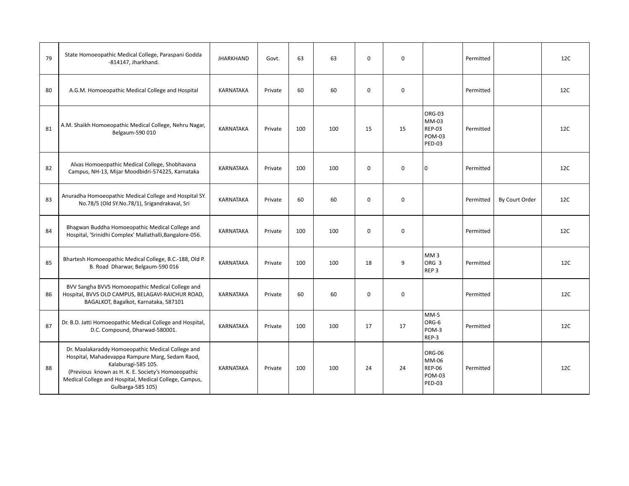| 79 | State Homoeopathic Medical College, Paraspani Godda<br>-814147, Jharkhand.                                                                                                                                                                                       | <b>JHARKHAND</b> | Govt.   | 63  | 63  | $\Omega$    | $\mathbf 0$ |                                                                    | Permitted |                | 12C |
|----|------------------------------------------------------------------------------------------------------------------------------------------------------------------------------------------------------------------------------------------------------------------|------------------|---------|-----|-----|-------------|-------------|--------------------------------------------------------------------|-----------|----------------|-----|
| 80 | A.G.M. Homoeopathic Medical College and Hospital                                                                                                                                                                                                                 | <b>KARNATAKA</b> | Private | 60  | 60  | $\mathbf 0$ | $\mathbf 0$ |                                                                    | Permitted |                | 12C |
| 81 | A.M. Shaikh Homoeopathic Medical College, Nehru Nagar,<br>Belgaum-590 010                                                                                                                                                                                        | <b>KARNATAKA</b> | Private | 100 | 100 | 15          | 15          | ORG-03<br>MM-03<br><b>REP-03</b><br><b>POM-03</b><br><b>PED-03</b> | Permitted |                | 12C |
| 82 | Alvas Homoeopathic Medical College, Shobhavana<br>Campus, NH-13, Mijar Moodbidri-574225, Karnataka                                                                                                                                                               | <b>KARNATAKA</b> | Private | 100 | 100 | $\mathbf 0$ | $\mathbf 0$ | $\mathbf 0$                                                        | Permitted |                | 12C |
| 83 | Anuradha Homoeopathic Medical College and Hospital SY.<br>No.78/5 (Old SY.No.78/1), Srigandrakaval, Sri                                                                                                                                                          | <b>KARNATAKA</b> | Private | 60  | 60  | $\mathbf 0$ | $\mathbf 0$ |                                                                    | Permitted | By Court Order | 12C |
| 84 | Bhagwan Buddha Homoeopathic Medical College and<br>Hospital, 'Srinidhi Complex' Mallathalli, Bangalore-056.                                                                                                                                                      | <b>KARNATAKA</b> | Private | 100 | 100 | $\mathbf 0$ | $\mathbf 0$ |                                                                    | Permitted |                | 12C |
| 85 | Bhartesh Homoeopathic Medical College, B.C.-188, Old P.<br>B. Road Dharwar, Belgaum-590 016                                                                                                                                                                      | <b>KARNATAKA</b> | Private | 100 | 100 | 18          | 9           | MM <sub>3</sub><br>ORG <sub>3</sub><br>REP <sub>3</sub>            | Permitted |                | 12C |
| 86 | BVV Sangha BVVS Homoeopathic Medical College and<br>Hospital, BVVS OLD CAMPUS, BELAGAVI-RAICHUR ROAD,<br>BAGALKOT, Bagalkot, Karnataka, 587101                                                                                                                   | <b>KARNATAKA</b> | Private | 60  | 60  | $\mathbf 0$ | $\mathbf 0$ |                                                                    | Permitted |                | 12C |
| 87 | Dr. B.D. Jatti Homoeopathic Medical College and Hospital,<br>D.C. Compound, Dharwad-580001.                                                                                                                                                                      | <b>KARNATAKA</b> | Private | 100 | 100 | 17          | 17          | $MM-5$<br>ORG-6<br>POM-3<br>REP-3                                  | Permitted |                | 12C |
| 88 | Dr. Maalakaraddy Homoeopathic Medical College and<br>Hospital, Mahadevappa Rampure Marg, Sedam Raod,<br>Kalaburagi-585 105.<br>(Previous known as H. K. E. Society's Homoeopathic<br>Medical College and Hospital, Medical College, Campus,<br>Gulbarga-585 105) | <b>KARNATAKA</b> | Private | 100 | 100 | 24          | 24          | ORG-06<br>MM-06<br><b>REP-06</b><br><b>POM-03</b><br><b>PED-03</b> | Permitted |                | 12C |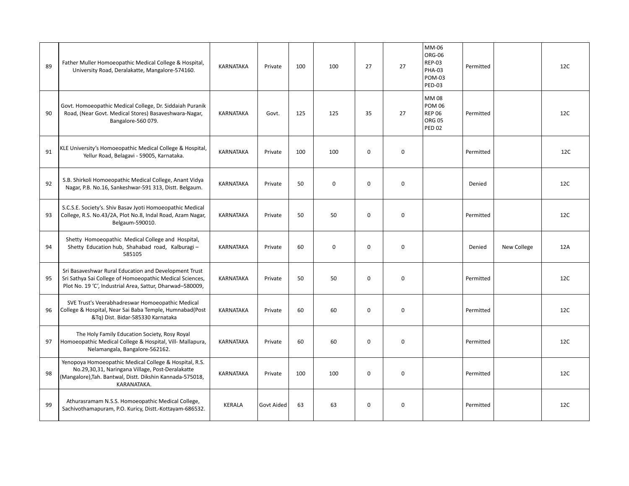| 89 | Father Muller Homoeopathic Medical College & Hospital,<br>University Road, Deralakatte, Mangalore-574160.                                                                              | KARNATAKA        | Private    | 100 | 100         | 27          | 27          | MM-06<br>ORG-06<br><b>REP-03</b><br><b>PHA-03</b><br><b>POM-03</b><br><b>PED-03</b> | Permitted |             | 12C |
|----|----------------------------------------------------------------------------------------------------------------------------------------------------------------------------------------|------------------|------------|-----|-------------|-------------|-------------|-------------------------------------------------------------------------------------|-----------|-------------|-----|
| 90 | Govt. Homoeopathic Medical College, Dr. Siddaiah Puranik<br>Road, (Near Govt. Medical Stores) Basaveshwara-Nagar,<br>Bangalore-560 079.                                                | KARNATAKA        | Govt.      | 125 | 125         | 35          | 27          | <b>MM08</b><br><b>POM 06</b><br><b>REP 06</b><br><b>ORG 05</b><br><b>PED 02</b>     | Permitted |             | 12C |
| 91 | KLE University's Homoeopathic Medical College & Hospital,<br>Yellur Road, Belagavi - 59005, Karnataka.                                                                                 | KARNATAKA        | Private    | 100 | 100         | $\mathbf 0$ | $\mathbf 0$ |                                                                                     | Permitted |             | 12C |
| 92 | S.B. Shirkoli Homoeopathic Medical College, Anant Vidya<br>Nagar, P.B. No.16, Sankeshwar-591 313, Distt. Belgaum.                                                                      | <b>KARNATAKA</b> | Private    | 50  | 0           | $\Omega$    | $\mathbf 0$ |                                                                                     | Denied    |             | 12C |
| 93 | S.C.S.E. Society's. Shiv Basav Jyoti Homoeopathic Medical<br>College, R.S. No.43/2A, Plot No.8, Indal Road, Azam Nagar,<br>Belgaum-590010.                                             | <b>KARNATAKA</b> | Private    | 50  | 50          | $\Omega$    | $\mathbf 0$ |                                                                                     | Permitted |             | 12C |
| 94 | Shetty Homoeopathic Medical College and Hospital,<br>Shetty Education hub, Shahabad road, Kalburagi-<br>585105                                                                         | <b>KARNATAKA</b> | Private    | 60  | $\mathbf 0$ | $\Omega$    | $\mathbf 0$ |                                                                                     | Denied    | New College | 12A |
| 95 | Sri Basaveshwar Rural Education and Development Trust<br>Sri Sathya Sai College of Homoeopathic Medical Sciences,<br>Plot No. 19 'C', Industrial Area, Sattur, Dharwad-580009,         | KARNATAKA        | Private    | 50  | 50          | $\Omega$    | $\mathbf 0$ |                                                                                     | Permitted |             | 12C |
| 96 | SVE Trust's Veerabhadreswar Homoeopathic Medical<br>College & Hospital, Near Sai Baba Temple, Humnabad(Post<br>&Tq) Dist. Bidar-585330 Karnataka                                       | KARNATAKA        | Private    | 60  | 60          | $\mathbf 0$ | $\mathbf 0$ |                                                                                     | Permitted |             | 12C |
| 97 | The Holy Family Education Society, Rosy Royal<br>Homoeopathic Medical College & Hospital, Vill- Mallapura,<br>Nelamangala, Bangalore-562162.                                           | KARNATAKA        | Private    | 60  | 60          | $\mathbf 0$ | $\mathbf 0$ |                                                                                     | Permitted |             | 12C |
| 98 | Yenopoya Homoeopathic Medical College & Hospital, R.S.<br>No.29,30,31, Naringana Village, Post-Deralakatte<br>(Mangalore), Tah. Bantwal, Distt. Dikshin Kannada-575018,<br>KARANATAKA. | KARNATAKA        | Private    | 100 | 100         | $\mathbf 0$ | $\mathbf 0$ |                                                                                     | Permitted |             | 12C |
| 99 | Athurasramam N.S.S. Homoeopathic Medical College,<br>Sachivothamapuram, P.O. Kuricy, Distt.-Kottayam-686532.                                                                           | <b>KERALA</b>    | Govt Aided | 63  | 63          | $\mathbf 0$ | $\mathbf 0$ |                                                                                     | Permitted |             | 12C |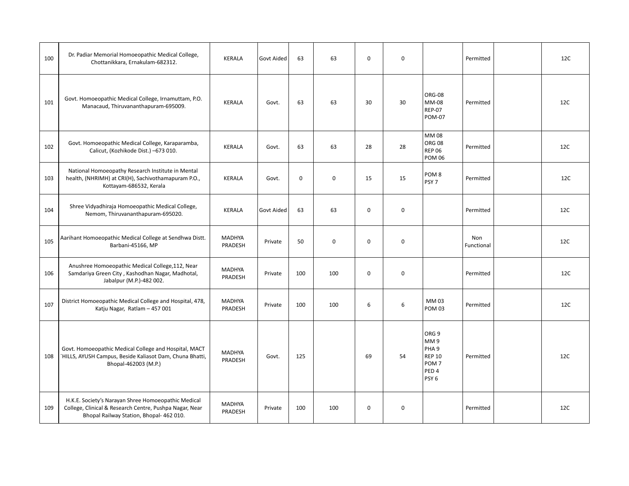| 100 | Dr. Padiar Memorial Homoeopathic Medical College,<br>Chottanikkara, Ernakulam-682312.                                                                      | KERALA                   | Govt Aided | 63       | 63          | $\mathbf 0$ | $\mathbf 0$ |                                                                                                                          | Permitted         | 12C |
|-----|------------------------------------------------------------------------------------------------------------------------------------------------------------|--------------------------|------------|----------|-------------|-------------|-------------|--------------------------------------------------------------------------------------------------------------------------|-------------------|-----|
| 101 | Govt. Homoeopathic Medical College, Irnamuttam, P.O.<br>Manacaud, Thiruvananthapuram-695009.                                                               | <b>KERALA</b>            | Govt.      | 63       | 63          | 30          | 30          | ORG-08<br>MM-08<br><b>REP-07</b><br><b>POM-07</b>                                                                        | Permitted         | 12C |
| 102 | Govt. Homoeopathic Medical College, Karaparamba,<br>Calicut, (Kozhikode Dist.) -673 010.                                                                   | <b>KERALA</b>            | Govt.      | 63       | 63          | 28          | 28          | MM 08<br><b>ORG 08</b><br><b>REP 06</b><br><b>POM 06</b>                                                                 | Permitted         | 12C |
| 103 | National Homoeopathy Research Institute in Mental<br>health, (NHRIMH) at CRI(H), Sachivothamapuram P.O.,<br>Kottayam-686532, Kerala                        | <b>KERALA</b>            | Govt.      | $\Omega$ | 0           | 15          | 15          | POM <sub>8</sub><br>PSY <sub>7</sub>                                                                                     | Permitted         | 12C |
| 104 | Shree Vidyadhiraja Homoeopathic Medical College,<br>Nemom, Thiruvananthapuram-695020.                                                                      | <b>KERALA</b>            | Govt Aided | 63       | 63          | $\Omega$    | $\mathbf 0$ |                                                                                                                          | Permitted         | 12C |
| 105 | Aarihant Homoeopathic Medical College at Sendhwa Distt.<br>Barbani-45166, MP                                                                               | <b>MADHYA</b><br>PRADESH | Private    | 50       | $\mathbf 0$ | $\mathbf 0$ | $\mathbf 0$ |                                                                                                                          | Non<br>Functional | 12C |
| 106 | Anushree Homoeopathic Medical College, 112, Near<br>Samdariya Green City, Kashodhan Nagar, Madhotal,<br>Jabalpur (M.P.)-482 002.                           | MADHYA<br>PRADESH        | Private    | 100      | 100         | $\mathbf 0$ | $\mathbf 0$ |                                                                                                                          | Permitted         | 12C |
| 107 | District Homoeopathic Medical College and Hospital, 478,<br>Katju Nagar, Ratlam - 457 001                                                                  | MADHYA<br>PRADESH        | Private    | 100      | 100         | 6           | 6           | MM 03<br><b>POM 03</b>                                                                                                   | Permitted         | 12C |
| 108 | Govt. Homoeopathic Medical College and Hospital, MACT<br>`HILLS, AYUSH Campus, Beside Kaliasot Dam, Chuna Bhatti,<br>Bhopal-462003 (M.P.)                  | <b>MADHYA</b><br>PRADESH | Govt.      | 125      |             | 69          | 54          | ORG <sub>9</sub><br>MM9<br>PHA <sub>9</sub><br><b>REP 10</b><br>POM <sub>7</sub><br>PED <sub>4</sub><br>PSY <sub>6</sub> | Permitted         | 12C |
| 109 | H.K.E. Society's Narayan Shree Homoeopathic Medical<br>College, Clinical & Research Centre, Pushpa Nagar, Near<br>Bhopal Railway Station, Bhopal- 462 010. | <b>MADHYA</b><br>PRADESH | Private    | 100      | 100         | $\mathbf 0$ | 0           |                                                                                                                          | Permitted         | 12C |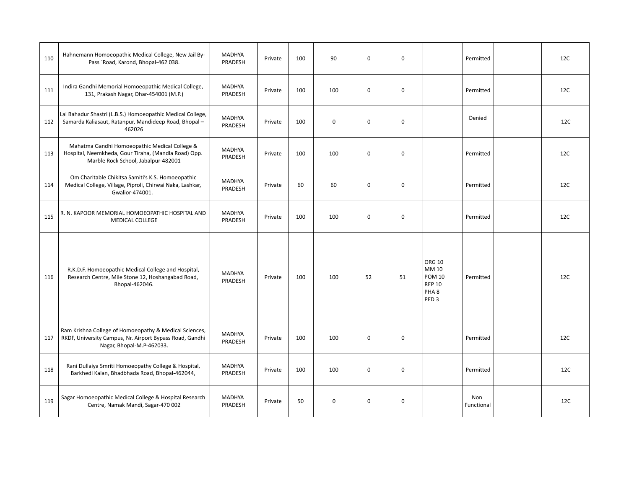| 110 | Hahnemann Homoeopathic Medical College, New Jail By-<br>Pass `Road, Karond, Bhopal-462 038.                                                     | <b>MADHYA</b><br>PRADESH | Private | 100 | 90          | $\mathbf 0$ | 0           |                                                                                                  | Permitted         | 12C |
|-----|-------------------------------------------------------------------------------------------------------------------------------------------------|--------------------------|---------|-----|-------------|-------------|-------------|--------------------------------------------------------------------------------------------------|-------------------|-----|
| 111 | Indira Gandhi Memorial Homoeopathic Medical College,<br>131, Prakash Nagar, Dhar-454001 (M.P.)                                                  | MADHYA<br>PRADESH        | Private | 100 | 100         | $\mathbf 0$ | $\mathbf 0$ |                                                                                                  | Permitted         | 12C |
| 112 | Lal Bahadur Shastri (L.B.S.) Homoeopathic Medical College,<br>Samarda Kaliasaut, Ratanpur, Mandideep Road, Bhopal -<br>462026                   | <b>MADHYA</b><br>PRADESH | Private | 100 | $\mathbf 0$ | $\mathbf 0$ | $\mathbf 0$ |                                                                                                  | Denied            | 12C |
| 113 | Mahatma Gandhi Homoeopathic Medical College &<br>Hospital, Neemkheda, Gour Tiraha, (Mandla Road) Opp.<br>Marble Rock School, Jabalpur-482001    | <b>MADHYA</b><br>PRADESH | Private | 100 | 100         | $\mathbf 0$ | $\mathbf 0$ |                                                                                                  | Permitted         | 12C |
| 114 | Om Charitable Chikitsa Samiti's K.S. Homoeopathic<br>Medical College, Village, Piproli, Chirwai Naka, Lashkar,<br>Gwalior-474001.               | MADHYA<br>PRADESH        | Private | 60  | 60          | $\mathbf 0$ | $\mathbf 0$ |                                                                                                  | Permitted         | 12C |
| 115 | R. N. KAPOOR MEMORIAL HOMOEOPATHIC HOSPITAL AND<br><b>MEDICAL COLLEGE</b>                                                                       | MADHYA<br>PRADESH        | Private | 100 | 100         | $\mathbf 0$ | $\mathbf 0$ |                                                                                                  | Permitted         | 12C |
| 116 | R.K.D.F. Homoeopathic Medical College and Hospital,<br>Research Centre, Mile Stone 12, Hoshangabad Road,<br>Bhopal-462046.                      | <b>MADHYA</b><br>PRADESH | Private | 100 | 100         | 52          | 51          | <b>ORG 10</b><br>MM 10<br><b>POM 10</b><br><b>REP 10</b><br>PHA <sub>8</sub><br>PED <sub>3</sub> | Permitted         | 12C |
| 117 | Ram Krishna College of Homoeopathy & Medical Sciences,<br>RKDF, University Campus, Nr. Airport Bypass Road, Gandhi<br>Nagar, Bhopal-M.P-462033. | <b>MADHYA</b><br>PRADESH | Private | 100 | 100         | $\mathbf 0$ | $\mathbf 0$ |                                                                                                  | Permitted         | 12C |
| 118 | Rani Dullaiya Smriti Homoeopathy College & Hospital,<br>Barkhedi Kalan, Bhadbhada Road, Bhopal-462044,                                          | MADHYA<br>PRADESH        | Private | 100 | 100         | $\mathbf 0$ | $\mathbf 0$ |                                                                                                  | Permitted         | 12C |
| 119 | Sagar Homoeopathic Medical College & Hospital Research<br>Centre, Namak Mandi, Sagar-470 002                                                    | MADHYA<br>PRADESH        | Private | 50  | $\mathbf 0$ | $\mathbf 0$ | $\mathbf 0$ |                                                                                                  | Non<br>Functional | 12C |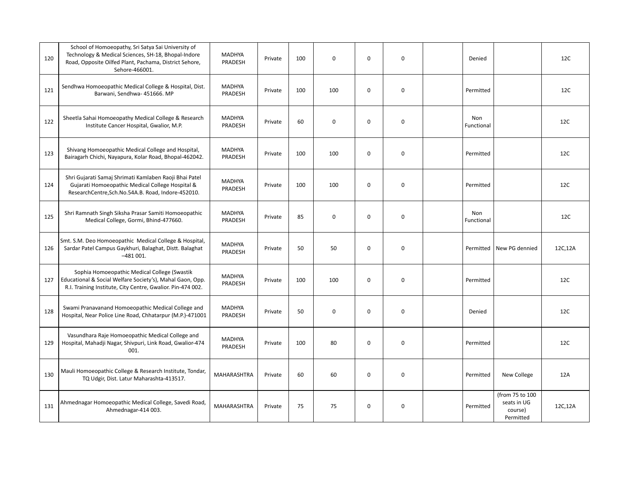| 120 | School of Homoeopathy, Sri Satya Sai University of<br>Technology & Medical Sciences, SH-18, Bhopal-Indore<br>Road, Opposite Oilfed Plant, Pachama, District Sehore,<br>Sehore-466001. | <b>MADHYA</b><br>PRADESH | Private | 100 | $\mathbf 0$ | $\mathbf 0$ | $\mathbf 0$ | Denied            |                                                        | 12C     |
|-----|---------------------------------------------------------------------------------------------------------------------------------------------------------------------------------------|--------------------------|---------|-----|-------------|-------------|-------------|-------------------|--------------------------------------------------------|---------|
| 121 | Sendhwa Homoeopathic Medical College & Hospital, Dist.<br>Barwani, Sendhwa- 451666. MP                                                                                                | <b>MADHYA</b><br>PRADESH | Private | 100 | 100         | $\mathbf 0$ | $\mathbf 0$ | Permitted         |                                                        | 12C     |
| 122 | Sheetla Sahai Homoeopathy Medical College & Research<br>Institute Cancer Hospital, Gwalior, M.P.                                                                                      | <b>MADHYA</b><br>PRADESH | Private | 60  | $\mathbf 0$ | $\mathbf 0$ | $\mathbf 0$ | Non<br>Functional |                                                        | 12C     |
| 123 | Shivang Homoeopathic Medical College and Hospital,<br>Bairagarh Chichi, Nayapura, Kolar Road, Bhopal-462042.                                                                          | MADHYA<br>PRADESH        | Private | 100 | 100         | $\Omega$    | $\mathbf 0$ | Permitted         |                                                        | 12C     |
| 124 | Shri Gujarati Samaj Shrimati Kamlaben Raoji Bhai Patel<br>Gujarati Homoeopathic Medical College Hospital &<br>ResearchCentre,Sch.No.54A.B. Road, Indore-452010.                       | MADHYA<br>PRADESH        | Private | 100 | 100         | $\mathbf 0$ | $\mathbf 0$ | Permitted         |                                                        | 12C     |
| 125 | Shri Ramnath Singh Siksha Prasar Samiti Homoeopathic<br>Medical College, Gormi, Bhind-477660.                                                                                         | <b>MADHYA</b><br>PRADESH | Private | 85  | $\mathbf 0$ | $\Omega$    | $\mathbf 0$ | Non<br>Functional |                                                        | 12C     |
| 126 | Smt. S.M. Deo Homoeopathic Medical College & Hospital,<br>Sardar Patel Campus Gaykhuri, Balaghat, Distt. Balaghat<br>$-481001.$                                                       | <b>MADHYA</b><br>PRADESH | Private | 50  | 50          | $\mathbf 0$ | $\mathbf 0$ | Permitted         | New PG dennied                                         | 12C,12A |
| 127 | Sophia Homoeopathic Medical College (Swastik<br>Educational & Social Welfare Society's), Mahal Gaon, Opp.<br>R.I. Training Institute, City Centre, Gwalior. Pin-474 002.              | <b>MADHYA</b><br>PRADESH | Private | 100 | 100         | $\mathbf 0$ | $\mathbf 0$ | Permitted         |                                                        | 12C     |
| 128 | Swami Pranavanand Homoeopathic Medical College and<br>Hospital, Near Police Line Road, Chhatarpur (M.P.)-471001                                                                       | <b>MADHYA</b><br>PRADESH | Private | 50  | $\pmb{0}$   | $\mathbf 0$ | $\mathbf 0$ | Denied            |                                                        | 12C     |
| 129 | Vasundhara Raje Homoeopathic Medical College and<br>Hospital, Mahadji Nagar, Shivpuri, Link Road, Gwalior-474<br>001.                                                                 | MADHYA<br>PRADESH        | Private | 100 | 80          | $\mathbf 0$ | $\mathbf 0$ | Permitted         |                                                        | 12C     |
| 130 | Mauli Homoeopathic College & Research Institute, Tondar,<br>TQ Udgir, Dist. Latur Maharashta-413517.                                                                                  | MAHARASHTRA              | Private | 60  | 60          | $\mathbf 0$ | 0           | Permitted         | New College                                            | 12A     |
| 131 | Ahmednagar Homoeopathic Medical College, Savedi Road,<br>Ahmednagar-414 003.                                                                                                          | <b>MAHARASHTRA</b>       | Private | 75  | 75          | $\mathbf 0$ | $\pmb{0}$   | Permitted         | (from 75 to 100<br>seats in UG<br>course)<br>Permitted | 12C,12A |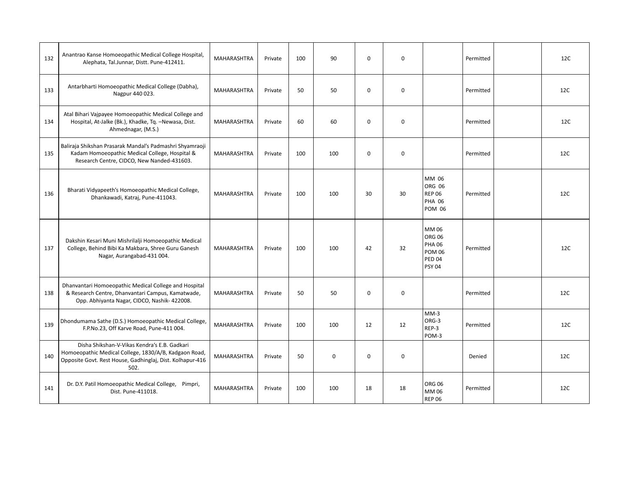| 132 | Anantrao Kanse Homoeopathic Medical College Hospital,<br>Alephata, Tal.Junnar, Distt. Pune-412411.                                                                         | <b>MAHARASHTRA</b> | Private | 100 | 90           | $\Omega$    | $\mathbf 0$ |                                                                                            | Permitted | 12C |
|-----|----------------------------------------------------------------------------------------------------------------------------------------------------------------------------|--------------------|---------|-----|--------------|-------------|-------------|--------------------------------------------------------------------------------------------|-----------|-----|
| 133 | Antarbharti Homoeopathic Medical College (Dabha),<br>Nagpur 440 023.                                                                                                       | <b>MAHARASHTRA</b> | Private | 50  | 50           | $\Omega$    | $\mathbf 0$ |                                                                                            | Permitted | 12C |
| 134 | Atal Bihari Vajpayee Homoeopathic Medical College and<br>Hospital, At-Jalke (Bk.), Khadke, Tq. -Newasa, Dist.<br>Ahmednagar, (M.S.)                                        | <b>MAHARASHTRA</b> | Private | 60  | 60           | $\Omega$    | $\mathbf 0$ |                                                                                            | Permitted | 12C |
| 135 | Baliraja Shikshan Prasarak Mandal's Padmashri Shyamraoji<br>Kadam Homoeopathic Medical College, Hospital &<br>Research Centre, CIDCO, New Nanded-431603.                   | MAHARASHTRA        | Private | 100 | 100          | $\mathbf 0$ | $\mathbf 0$ |                                                                                            | Permitted | 12C |
| 136 | Bharati Vidyapeeth's Homoeopathic Medical College,<br>Dhankawadi, Katraj, Pune-411043.                                                                                     | <b>MAHARASHTRA</b> | Private | 100 | 100          | 30          | 30          | MM 06<br>ORG 06<br><b>REP 06</b><br><b>PHA 06</b><br><b>POM 06</b>                         | Permitted | 12C |
| 137 | Dakshin Kesari Muni Mishrilalji Homoeopathic Medical<br>College, Behind Bibi Ka Makbara, Shree Guru Ganesh<br>Nagar, Aurangabad-431 004.                                   | <b>MAHARASHTRA</b> | Private | 100 | 100          | 42          | 32          | MM 06<br><b>ORG 06</b><br><b>PHA 06</b><br><b>POM 06</b><br><b>PED 04</b><br><b>PSY 04</b> | Permitted | 12C |
| 138 | Dhanvantari Homoeopathic Medical College and Hospital<br>& Research Centre, Dhanvantari Campus, Kamatwade,<br>Opp. Abhiyanta Nagar, CIDCO, Nashik- 422008.                 | <b>MAHARASHTRA</b> | Private | 50  | 50           | $\mathbf 0$ | $\mathbf 0$ |                                                                                            | Permitted | 12C |
| 139 | Dhondumama Sathe (D.S.) Homoeopathic Medical College,<br>F.P.No.23, Off Karve Road, Pune-411 004.                                                                          | MAHARASHTRA        | Private | 100 | 100          | 12          | 12          | $MM-3$<br>ORG-3<br>REP-3<br>POM-3                                                          | Permitted | 12C |
| 140 | Disha Shikshan-V-Vikas Kendra's E.B. Gadkari<br>Homoeopathic Medical College, 1830/A/B, Kadgaon Road,<br>Opposite Govt. Rest House, Gadhinglaj, Dist. Kolhapur-416<br>502. | <b>MAHARASHTRA</b> | Private | 50  | $\mathbf{0}$ | $\mathbf 0$ | $\mathbf 0$ |                                                                                            | Denied    | 12C |
| 141 | Dr. D.Y. Patil Homoeopathic Medical College, Pimpri,<br>Dist. Pune-411018.                                                                                                 | <b>MAHARASHTRA</b> | Private | 100 | 100          | 18          | 18          | <b>ORG 06</b><br>MM 06<br><b>REP 06</b>                                                    | Permitted | 12C |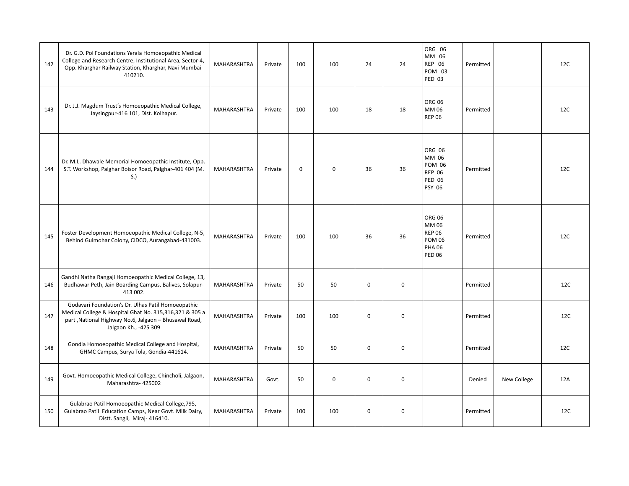| 142 | Dr. G.D. Pol Foundations Yerala Homoeopathic Medical<br>College and Research Centre, Institutional Area, Sector-4,<br>Opp. Kharghar Railway Station, Kharghar, Navi Mumbai-<br>410210.          | MAHARASHTRA        | Private | 100         | 100         | 24          | 24          | ORG 06<br>MM 06<br><b>REP 06</b><br>POM 03<br><b>PED 03</b>                                | Permitted |             | 12C |
|-----|-------------------------------------------------------------------------------------------------------------------------------------------------------------------------------------------------|--------------------|---------|-------------|-------------|-------------|-------------|--------------------------------------------------------------------------------------------|-----------|-------------|-----|
| 143 | Dr. J.J. Magdum Trust's Homoeopathic Medical College,<br>Jaysingpur-416 101, Dist. Kolhapur.                                                                                                    | MAHARASHTRA        | Private | 100         | 100         | 18          | 18          | <b>ORG 06</b><br>MM 06<br><b>REP 06</b>                                                    | Permitted |             | 12C |
| 144 | Dr. M.L. Dhawale Memorial Homoeopathic Institute, Opp.<br>S.T. Workshop, Palghar Boisor Road, Palghar-401 404 (M.<br>S.                                                                         | MAHARASHTRA        | Private | $\mathbf 0$ | $\mathbf 0$ | 36          | 36          | ORG 06<br>MM 06<br><b>POM 06</b><br><b>REP 06</b><br><b>PED 06</b><br><b>PSY 06</b>        | Permitted |             | 12C |
| 145 | Foster Development Homoeopathic Medical College, N-5,<br>Behind Gulmohar Colony, CIDCO, Aurangabad-431003.                                                                                      | MAHARASHTRA        | Private | 100         | 100         | 36          | 36          | <b>ORG 06</b><br>MM 06<br><b>REP 06</b><br><b>POM 06</b><br><b>PHA 06</b><br><b>PED 06</b> | Permitted |             | 12C |
| 146 | Gandhi Natha Rangaji Homoeopathic Medical College, 13,<br>Budhawar Peth, Jain Boarding Campus, Balives, Solapur-<br>413 002.                                                                    | <b>MAHARASHTRA</b> | Private | 50          | 50          | $\mathbf 0$ | $\mathbf 0$ |                                                                                            | Permitted |             | 12C |
| 147 | Godavari Foundation's Dr. Ulhas Patil Homoeopathic<br>Medical College & Hospital Ghat No. 315,316,321 & 305 a<br>part, National Highway No.6, Jalgaon - Bhusawal Road,<br>Jalgaon Kh., -425 309 | MAHARASHTRA        | Private | 100         | 100         | 0           | 0           |                                                                                            | Permitted |             | 12C |
| 148 | Gondia Homoeopathic Medical College and Hospital,<br>GHMC Campus, Surya Tola, Gondia-441614.                                                                                                    | MAHARASHTRA        | Private | 50          | 50          | $\mathbf 0$ | $\pmb{0}$   |                                                                                            | Permitted |             | 12C |
| 149 | Govt. Homoeopathic Medical College, Chincholi, Jalgaon,<br>Maharashtra- 425002                                                                                                                  | MAHARASHTRA        | Govt.   | 50          | $\pmb{0}$   | 0           | 0           |                                                                                            | Denied    | New College | 12A |
| 150 | Gulabrao Patil Homoeopathic Medical College, 795,<br>Gulabrao Patil Education Camps, Near Govt. Milk Dairy,<br>Distt. Sangli, Miraj- 416410.                                                    | <b>MAHARASHTRA</b> | Private | 100         | 100         | 0           | 0           |                                                                                            | Permitted |             | 12C |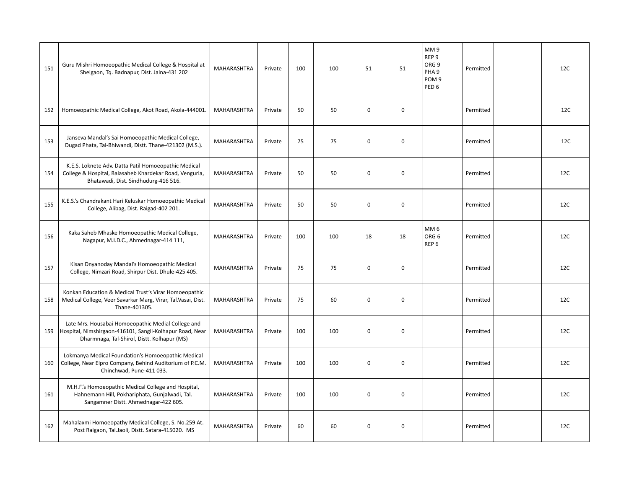| 151 | Guru Mishri Homoeopathic Medical College & Hospital at<br>Shelgaon, Tq. Badnapur, Dist. Jalna-431 202                                                         | <b>MAHARASHTRA</b> | Private | 100 | 100 | 51          | 51          | MM9<br>REP <sub>9</sub><br>ORG <sub>9</sub><br>PHA <sub>9</sub><br>POM <sub>9</sub><br>PED <sub>6</sub> | Permitted | 12C |
|-----|---------------------------------------------------------------------------------------------------------------------------------------------------------------|--------------------|---------|-----|-----|-------------|-------------|---------------------------------------------------------------------------------------------------------|-----------|-----|
| 152 | Homoeopathic Medical College, Akot Road, Akola-444001.                                                                                                        | MAHARASHTRA        | Private | 50  | 50  | $\mathbf 0$ | $\mathbf 0$ |                                                                                                         | Permitted | 12C |
| 153 | Janseva Mandal's Sai Homoeopathic Medical College,<br>Dugad Phata, Tal-Bhiwandi, Distt. Thane-421302 (M.S.).                                                  | MAHARASHTRA        | Private | 75  | 75  | $\mathbf 0$ | $\mathbf 0$ |                                                                                                         | Permitted | 12C |
| 154 | K.E.S. Loknete Adv. Datta Patil Homoeopathic Medical<br>College & Hospital, Balasaheb Khardekar Road, Vengurla,<br>Bhatawadi, Dist. Sindhudurg-416 516.       | <b>MAHARASHTRA</b> | Private | 50  | 50  | $\mathbf 0$ | $\mathbf 0$ |                                                                                                         | Permitted | 12C |
| 155 | K.E.S.'s Chandrakant Hari Keluskar Homoeopathic Medical<br>College, Alibag, Dist. Raigad-402 201.                                                             | <b>MAHARASHTRA</b> | Private | 50  | 50  | $\mathbf 0$ | $\mathbf 0$ |                                                                                                         | Permitted | 12C |
| 156 | Kaka Saheb Mhaske Homoeopathic Medical College,<br>Nagapur, M.I.D.C., Ahmednagar-414 111,                                                                     | <b>MAHARASHTRA</b> | Private | 100 | 100 | 18          | 18          | MM <sub>6</sub><br>ORG <sub>6</sub><br>REP <sub>6</sub>                                                 | Permitted | 12C |
| 157 | Kisan Dnyanoday Mandal's Homoeopathic Medical<br>College, Nimzari Road, Shirpur Dist. Dhule-425 405.                                                          | MAHARASHTRA        | Private | 75  | 75  | $\mathbf 0$ | $\mathbf 0$ |                                                                                                         | Permitted | 12C |
| 158 | Konkan Education & Medical Trust's Virar Homoeopathic<br>Medical College, Veer Savarkar Marg, Virar, Tal.Vasai, Dist.<br>Thane-401305.                        | MAHARASHTRA        | Private | 75  | 60  | $\Omega$    | $\mathbf 0$ |                                                                                                         | Permitted | 12C |
| 159 | Late Mrs. Housabai Homoeopathic Medial College and<br>Hospital, Nimshirgaon-416101, Sangli-Kolhapur Road, Near<br>Dharmnaga, Tal-Shirol, Distt. Kolhapur (MS) | <b>MAHARASHTRA</b> | Private | 100 | 100 | $\mathbf 0$ | $\mathbf 0$ |                                                                                                         | Permitted | 12C |
| 160 | Lokmanya Medical Foundation's Homoeopathic Medical<br>College, Near Elpro Company, Behind Auditorium of P.C.M.<br>Chinchwad, Pune-411 033.                    | MAHARASHTRA        | Private | 100 | 100 | $\mathbf 0$ | $\mathbf 0$ |                                                                                                         | Permitted | 12C |
| 161 | M.H.F.'s Homoeopathic Medical College and Hospital,<br>Hahnemann Hill, Pokhariphata, Gunjalwadi, Tal.<br>Sangamner Distt. Ahmednagar-422 605.                 | MAHARASHTRA        | Private | 100 | 100 | $\mathbf 0$ | $\mathbf 0$ |                                                                                                         | Permitted | 12C |
| 162 | Mahalaxmi Homoeopathy Medical College, S. No.259 At.<br>Post Raigaon, Tal.Jaoli, Distt. Satara-415020. MS                                                     | <b>MAHARASHTRA</b> | Private | 60  | 60  | $\mathbf 0$ | $\mathbf 0$ |                                                                                                         | Permitted | 12C |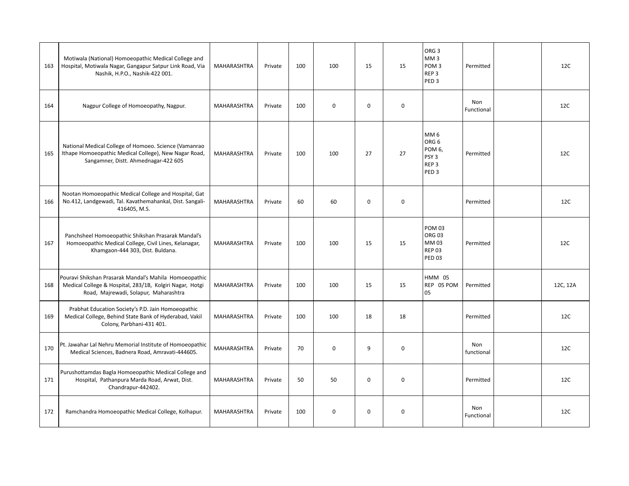| 163 | Motiwala (National) Homoeopathic Medical College and<br>Hospital, Motiwala Nagar, Gangapur Satpur Link Road, Via<br>Nashik, H.P.O., Nashik-422 001.         | MAHARASHTRA        | Private | 100 | 100         | 15          | 15          | ORG <sub>3</sub><br>MM <sub>3</sub><br>POM <sub>3</sub><br>REP <sub>3</sub><br>PED <sub>3</sub>           | Permitted         | 12C      |
|-----|-------------------------------------------------------------------------------------------------------------------------------------------------------------|--------------------|---------|-----|-------------|-------------|-------------|-----------------------------------------------------------------------------------------------------------|-------------------|----------|
| 164 | Nagpur College of Homoeopathy, Nagpur.                                                                                                                      | <b>MAHARASHTRA</b> | Private | 100 | $\mathbf 0$ | $\mathbf 0$ | $\mathbf 0$ |                                                                                                           | Non<br>Functional | 12C      |
| 165 | National Medical College of Homoeo. Science (Vamanrao<br>Ithape Homoeopathic Medical College), New Nagar Road,<br>Sangamner, Distt. Ahmednagar-422 605      | <b>MAHARASHTRA</b> | Private | 100 | 100         | 27          | 27          | MM <sub>6</sub><br>ORG <sub>6</sub><br>POM 6,<br>PSY <sub>3</sub><br>REP <sub>3</sub><br>PED <sub>3</sub> | Permitted         | 12C      |
| 166 | Nootan Homoeopathic Medical College and Hospital, Gat<br>No.412, Landgewadi, Tal. Kavathemahankal, Dist. Sangali-<br>416405, M.S.                           | MAHARASHTRA        | Private | 60  | 60          | $\mathbf 0$ | $\mathbf 0$ |                                                                                                           | Permitted         | 12C      |
| 167 | Panchsheel Homoeopathic Shikshan Prasarak Mandal's<br>Homoeopathic Medical College, Civil Lines, Kelanagar,<br>Khamgaon-444 303, Dist. Buldana.             | MAHARASHTRA        | Private | 100 | 100         | 15          | 15          | <b>POM 03</b><br><b>ORG 03</b><br>MM 03<br><b>REP 03</b><br><b>PED 03</b>                                 | Permitted         | 12C      |
| 168 | Pouravi Shikshan Prasarak Mandal's Mahila Homoeopathic<br>Medical College & Hospital, 283/1B, Kolgiri Nagar, Hotgi<br>Road, Majrewadi, Solapur, Maharashtra | MAHARASHTRA        | Private | 100 | 100         | 15          | 15          | <b>HMM 05</b><br>REP 05 POM<br>05                                                                         | Permitted         | 12C, 12A |
| 169 | Prabhat Education Society's P.D. Jain Homoeopathic<br>Medical College, Behind State Bank of Hyderabad, Vakil<br>Colony, Parbhani-431 401.                   | <b>MAHARASHTRA</b> | Private | 100 | 100         | 18          | 18          |                                                                                                           | Permitted         | 12C      |
| 170 | Pt. Jawahar Lal Nehru Memorial Institute of Homoeopathic<br>Medical Sciences, Badnera Road, Amravati-444605.                                                | MAHARASHTRA        | Private | 70  | 0           | 9           | $\mathbf 0$ |                                                                                                           | Non<br>functional | 12C      |
| 171 | Purushottamdas Bagla Homoeopathic Medical College and<br>Hospital, Pathanpura Marda Road, Arwat, Dist.<br>Chandrapur-442402.                                | MAHARASHTRA        | Private | 50  | 50          | $\mathbf 0$ | $\mathbf 0$ |                                                                                                           | Permitted         | 12C      |
| 172 | Ramchandra Homoeopathic Medical College, Kolhapur.                                                                                                          | <b>MAHARASHTRA</b> | Private | 100 | $\mathbf 0$ | $\mathbf 0$ | $\mathbf 0$ |                                                                                                           | Non<br>Functional | 12C      |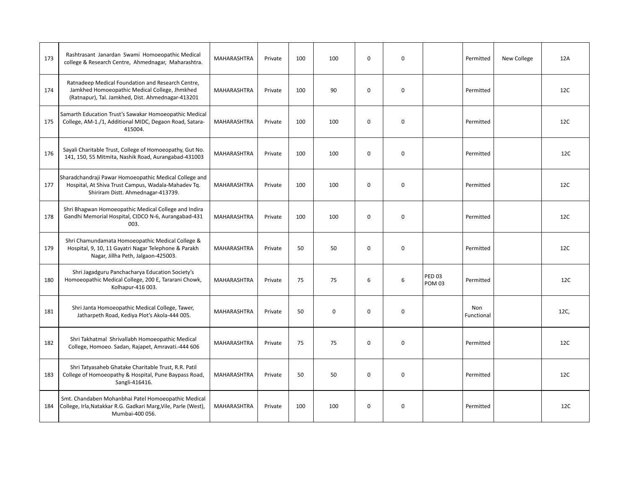| 173 | Rashtrasant Janardan Swami Homoeopathic Medical<br>college & Research Centre, Ahmednagar, Maharashtra.                                                  | MAHARASHTRA        | Private | 100 | 100         | $\mathbf 0$ | $\mathbf 0$ |                                | Permitted         | New College | 12A  |
|-----|---------------------------------------------------------------------------------------------------------------------------------------------------------|--------------------|---------|-----|-------------|-------------|-------------|--------------------------------|-------------------|-------------|------|
| 174 | Ratnadeep Medical Foundation and Research Centre,<br>Jamkhed Homoeopathic Medical College, Jhmkhed<br>(Ratnapur), Tal. Jamkhed, Dist. Ahmednagar-413201 | MAHARASHTRA        | Private | 100 | 90          | $\mathbf 0$ | $\mathbf 0$ |                                | Permitted         |             | 12C  |
| 175 | Samarth Education Trust's Sawakar Homoeopathic Medical<br>College, AM-1./1, Additional MIDC, Degaon Road, Satara-<br>415004.                            | <b>MAHARASHTRA</b> | Private | 100 | 100         | $\mathbf 0$ | $\mathbf 0$ |                                | Permitted         |             | 12C  |
| 176 | Sayali Charitable Trust, College of Homoeopathy, Gut No.<br>141, 150, 55 Mitmita, Nashik Road, Aurangabad-431003                                        | MAHARASHTRA        | Private | 100 | 100         | $\mathbf 0$ | 0           |                                | Permitted         |             | 12C  |
| 177 | Sharadchandraji Pawar Homoeopathic Medical College and<br>Hospital, At Shiva Trust Campus, Wadala-Mahadev Tq.<br>Shiriram Distt. Ahmednagar-413739.     | MAHARASHTRA        | Private | 100 | 100         | $\mathbf 0$ | $\mathbf 0$ |                                | Permitted         |             | 12C  |
| 178 | Shri Bhagwan Homoeopathic Medical College and Indira<br>Gandhi Memorial Hospital, CIDCO N-6, Aurangabad-431<br>003.                                     | <b>MAHARASHTRA</b> | Private | 100 | 100         | $\Omega$    | $\mathbf 0$ |                                | Permitted         |             | 12C  |
| 179 | Shri Chamundamata Homoeopathic Medical College &<br>Hospital, 9, 10, 11 Gayatri Nagar Telephone & Parakh<br>Nagar, Jillha Peth, Jalgaon-425003.         | <b>MAHARASHTRA</b> | Private | 50  | 50          | $\mathbf 0$ | $\mathbf 0$ |                                | Permitted         |             | 12C  |
| 180 | Shri Jagadguru Panchacharya Education Society's<br>Homoeopathic Medical College, 200 E, Tararani Chowk,<br>Kolhapur-416 003.                            | <b>MAHARASHTRA</b> | Private | 75  | 75          | 6           | 6           | <b>PED 03</b><br><b>POM 03</b> | Permitted         |             | 12C  |
| 181 | Shri Janta Homoeopathic Medical College, Tawer,<br>Jatharpeth Road, Kediya Plot's Akola-444 005.                                                        | MAHARASHTRA        | Private | 50  | $\mathbf 0$ | $\mathbf 0$ | $\mathbf 0$ |                                | Non<br>Functional |             | 12C, |
| 182 | Shri Takhatmal Shrivallabh Homoeopathic Medical<br>College, Homoeo. Sadan, Rajapet, Amravati.-444 606                                                   | <b>MAHARASHTRA</b> | Private | 75  | 75          | $\mathbf 0$ | $\mathbf 0$ |                                | Permitted         |             | 12C  |
| 183 | Shri Tatyasaheb Ghatake Charitable Trust, R.R. Patil<br>College of Homoeopathy & Hospital, Pune Baypass Road,<br>Sangli-416416.                         | <b>MAHARASHTRA</b> | Private | 50  | 50          | $\mathbf 0$ | $\mathbf 0$ |                                | Permitted         |             | 12C  |
| 184 | Smt. Chandaben Mohanbhai Patel Homoeopathic Medical<br>College, Irla, Natakkar R.G. Gadkari Marg, Vile, Parle (West),<br>Mumbai-400 056.                | <b>MAHARASHTRA</b> | Private | 100 | 100         | $\mathbf 0$ | 0           |                                | Permitted         |             | 12C  |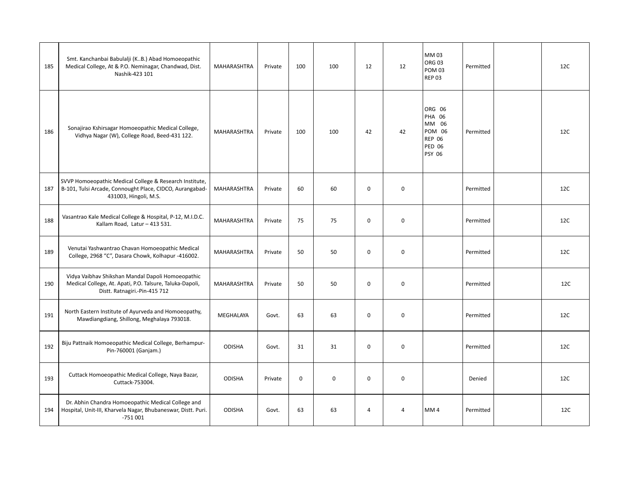| 185 | Smt. Kanchanbai Babulalji (KB.) Abad Homoeopathic<br>Medical College, At & P.O. Neminagar, Chandwad, Dist.<br>Nashik-423 101                   | MAHARASHTRA        | Private | 100         | 100 | 12          | 12          | MM 03<br><b>ORG 03</b><br><b>POM 03</b><br><b>REP 03</b>                                             | Permitted | 12C |
|-----|------------------------------------------------------------------------------------------------------------------------------------------------|--------------------|---------|-------------|-----|-------------|-------------|------------------------------------------------------------------------------------------------------|-----------|-----|
| 186 | Sonajirao Kshirsagar Homoeopathic Medical College,<br>Vidhya Nagar (W), College Road, Beed-431 122.                                            | MAHARASHTRA        | Private | 100         | 100 | 42          | 42          | ORG 06<br><b>PHA 06</b><br>MM 06<br><b>POM 06</b><br><b>REP 06</b><br><b>PED 06</b><br><b>PSY 06</b> | Permitted | 12C |
| 187 | SVVP Homoeopathic Medical College & Research Institute,<br>B-101, Tulsi Arcade, Connought Place, CIDCO, Aurangabad-<br>431003, Hingoli, M.S.   | <b>MAHARASHTRA</b> | Private | 60          | 60  | $\mathbf 0$ | $\mathbf 0$ |                                                                                                      | Permitted | 12C |
| 188 | Vasantrao Kale Medical College & Hospital, P-12, M.I.D.C.<br>Kallam Road, Latur - 413 531.                                                     | MAHARASHTRA        | Private | 75          | 75  | $\mathbf 0$ | $\mathbf 0$ |                                                                                                      | Permitted | 12C |
| 189 | Venutai Yashwantrao Chavan Homoeopathic Medical<br>College, 2968 "C", Dasara Chowk, Kolhapur -416002.                                          | <b>MAHARASHTRA</b> | Private | 50          | 50  | $\Omega$    | $\mathbf 0$ |                                                                                                      | Permitted | 12C |
| 190 | Vidya Vaibhav Shikshan Mandal Dapoli Homoeopathic<br>Medical College, At. Apati, P.O. Talsure, Taluka-Dapoli,<br>Distt. Ratnagiri.-Pin-415 712 | MAHARASHTRA        | Private | 50          | 50  | $\mathbf 0$ | $\mathbf 0$ |                                                                                                      | Permitted | 12C |
| 191 | North Eastern Institute of Ayurveda and Homoeopathy,<br>Mawdiangdiang, Shillong, Meghalaya 793018.                                             | MEGHALAYA          | Govt.   | 63          | 63  | 0           | $\mathbf 0$ |                                                                                                      | Permitted | 12C |
| 192 | Biju Pattnaik Homoeopathic Medical College, Berhampur-<br>Pin-760001 (Ganjam.)                                                                 | <b>ODISHA</b>      | Govt.   | 31          | 31  | $\mathbf 0$ | $\mathbf 0$ |                                                                                                      | Permitted | 12C |
| 193 | Cuttack Homoeopathic Medical College, Naya Bazar,<br>Cuttack-753004.                                                                           | <b>ODISHA</b>      | Private | $\mathbf 0$ | 0   | $\mathbf 0$ | $\mathbf 0$ |                                                                                                      | Denied    | 12C |
| 194 | Dr. Abhin Chandra Homoeopathic Medical College and<br>Hospital, Unit-III, Kharvela Nagar, Bhubaneswar, Distt. Puri.<br>$-751001$               | <b>ODISHA</b>      | Govt.   | 63          | 63  | 4           | 4           | MM <sub>4</sub>                                                                                      | Permitted | 12C |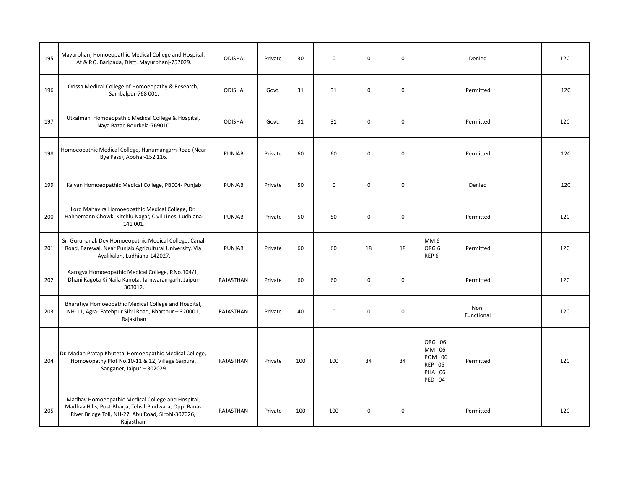| 195 | Mayurbhanj Homoeopathic Medical College and Hospital,<br>At & P.O. Baripada, Distt. Mayurbhanj-757029.                                                                          | <b>ODISHA</b>    | Private | 30  | $\mathbf 0$ | $\mathbf 0$ | 0           |                                                                       | Denied            | 12C |
|-----|---------------------------------------------------------------------------------------------------------------------------------------------------------------------------------|------------------|---------|-----|-------------|-------------|-------------|-----------------------------------------------------------------------|-------------------|-----|
| 196 | Orissa Medical College of Homoeopathy & Research,<br>Sambalpur-768 001.                                                                                                         | <b>ODISHA</b>    | Govt.   | 31  | 31          | $\mathbf 0$ | $\mathbf 0$ |                                                                       | Permitted         | 12C |
| 197 | Utkalmani Homoeopathic Medical College & Hospital,<br>Naya Bazar, Rourkela-769010.                                                                                              | <b>ODISHA</b>    | Govt.   | 31  | 31          | $\mathbf 0$ | $\mathbf 0$ |                                                                       | Permitted         | 12C |
| 198 | Homoeopathic Medical College, Hanumangarh Road (Near<br>Bye Pass), Abohar-152 116.                                                                                              | PUNJAB           | Private | 60  | 60          | $\mathbf 0$ | $\mathbf 0$ |                                                                       | Permitted         | 12C |
| 199 | Kalyan Homoeopathic Medical College, PB004- Punjab                                                                                                                              | <b>PUNJAB</b>    | Private | 50  | $\mathbf 0$ | $\mathbf 0$ | $\mathbf 0$ |                                                                       | Denied            | 12C |
| 200 | Lord Mahavira Homoeopathic Medical College, Dr.<br>Hahnemann Chowk, Kitchlu Nagar, Civil Lines, Ludhiana-<br>141 001.                                                           | PUNJAB           | Private | 50  | 50          | $\mathbf 0$ | 0           |                                                                       | Permitted         | 12C |
| 201 | Sri Gurunanak Dev Homoeopathic Medical College, Canal<br>Road, Barewal, Near Punjab Agricultural University. Via<br>Ayalikalan, Ludhiana-142027.                                | <b>PUNJAB</b>    | Private | 60  | 60          | 18          | 18          | MM <sub>6</sub><br>ORG <sub>6</sub><br>REP <sub>6</sub>               | Permitted         | 12C |
| 202 | Aarogya Homoeopathic Medical College, P.No.104/1,<br>Dhani Kagota Ki Naila Kanota, Jamwaramgarh, Jaipur-<br>303012.                                                             | <b>RAJASTHAN</b> | Private | 60  | 60          | $\mathbf 0$ | $\mathbf 0$ |                                                                       | Permitted         | 12C |
| 203 | Bharatiya Homoeopathic Medical College and Hospital,<br>NH-11, Agra-Fatehpur Sikri Road, Bhartpur - 320001,<br>Rajasthan                                                        | <b>RAJASTHAN</b> | Private | 40  | $\mathbf 0$ | $\Omega$    | $\mathbf 0$ |                                                                       | Non<br>Functional | 12C |
| 204 | Dr. Madan Pratap Khuteta Homoeopathic Medical College,<br>Homoeopathy Plot No.10-11 & 12, Village Saipura,<br>Sanganer, Jaipur - 302029.                                        | RAJASTHAN        | Private | 100 | 100         | 34          | 34          | ORG 06<br>MM 06<br>POM 06<br><b>REP 06</b><br><b>PHA 06</b><br>PED 04 | Permitted         | 12C |
| 205 | Madhav Homoeopathic Medical College and Hospital,<br>Madhav Hills, Post-Bharja, Tehsil-Pindwara, Opp. Banas<br>River Bridge Toll, NH-27, Abu Road, Sirohi-307026,<br>Rajasthan. | RAJASTHAN        | Private | 100 | 100         | $\mathbf 0$ | 0           |                                                                       | Permitted         | 12C |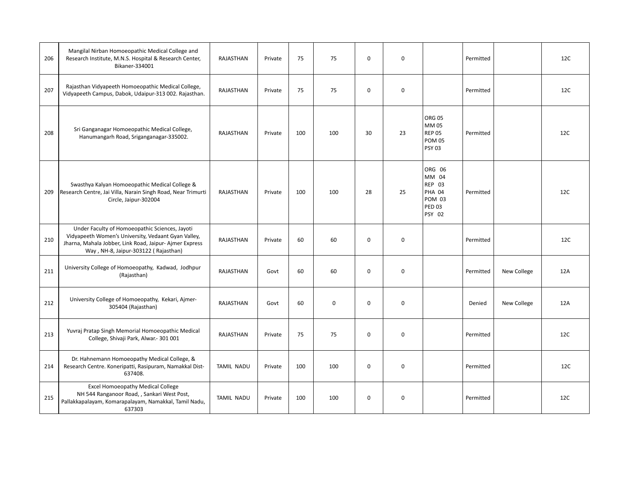| 206 | Mangilal Nirban Homoeopathic Medical College and<br>Research Institute, M.N.S. Hospital & Research Center,<br>Bikaner-334001                                                                            | RAJASTHAN         | Private | 75  | 75          | $\mathbf 0$ | $\mathbf 0$ |                                                                                               | Permitted |             | 12C |
|-----|---------------------------------------------------------------------------------------------------------------------------------------------------------------------------------------------------------|-------------------|---------|-----|-------------|-------------|-------------|-----------------------------------------------------------------------------------------------|-----------|-------------|-----|
| 207 | Rajasthan Vidyapeeth Homoeopathic Medical College,<br>Vidyapeeth Campus, Dabok, Udaipur-313 002. Rajasthan.                                                                                             | RAJASTHAN         | Private | 75  | 75          | $\mathbf 0$ | $\mathbf 0$ |                                                                                               | Permitted |             | 12C |
| 208 | Sri Ganganagar Homoeopathic Medical College,<br>Hanumangarh Road, Sriganganagar-335002.                                                                                                                 | RAJASTHAN         | Private | 100 | 100         | 30          | 23          | <b>ORG 05</b><br>MM 05<br><b>REP 05</b><br><b>POM 05</b><br><b>PSY 03</b>                     | Permitted |             | 12C |
| 209 | Swasthya Kalyan Homoeopathic Medical College &<br>Research Centre, Jai Villa, Narain Singh Road, Near Trimurti<br>Circle, Jaipur-302004                                                                 | RAJASTHAN         | Private | 100 | 100         | 28          | 25          | ORG 06<br>MM 04<br><b>REP 03</b><br><b>PHA 04</b><br><b>POM 03</b><br><b>PED 03</b><br>PSY 02 | Permitted |             | 12C |
| 210 | Under Faculty of Homoeopathic Sciences, Jayoti<br>Vidyapeeth Women's University, Vedaant Gyan Valley,<br>Jharna, Mahala Jobber, Link Road, Jaipur-Ajmer Express<br>Way, NH-8, Jaipur-303122 (Rajasthan) | RAJASTHAN         | Private | 60  | 60          | $\mathbf 0$ | $\mathbf 0$ |                                                                                               | Permitted |             | 12C |
| 211 | University College of Homoeopathy, Kadwad, Jodhpur<br>(Rajasthan)                                                                                                                                       | <b>RAJASTHAN</b>  | Govt    | 60  | 60          | $\mathbf 0$ | $\mathbf 0$ |                                                                                               | Permitted | New College | 12A |
| 212 | University College of Homoeopathy, Kekari, Ajmer-<br>305404 (Rajasthan)                                                                                                                                 | RAJASTHAN         | Govt    | 60  | $\mathbf 0$ | $\mathbf 0$ | $\mathbf 0$ |                                                                                               | Denied    | New College | 12A |
| 213 | Yuvraj Pratap Singh Memorial Homoeopathic Medical<br>College, Shivaji Park, Alwar.- 301 001                                                                                                             | RAJASTHAN         | Private | 75  | 75          | $\mathbf 0$ | $\mathbf 0$ |                                                                                               | Permitted |             | 12C |
| 214 | Dr. Hahnemann Homoeopathy Medical College, &<br>Research Centre. Koneripatti, Rasipuram, Namakkal Dist-<br>637408.                                                                                      | <b>TAMIL NADU</b> | Private | 100 | 100         | $\mathbf 0$ | $\mathbf 0$ |                                                                                               | Permitted |             | 12C |
| 215 | <b>Excel Homoeopathy Medical College</b><br>NH 544 Ranganoor Road, , Sankari West Post,<br>Pallakkapalayam, Komarapalayam, Namakkal, Tamil Nadu,<br>637303                                              | <b>TAMIL NADU</b> | Private | 100 | 100         | $\mathbf 0$ | $\mathbf 0$ |                                                                                               | Permitted |             | 12C |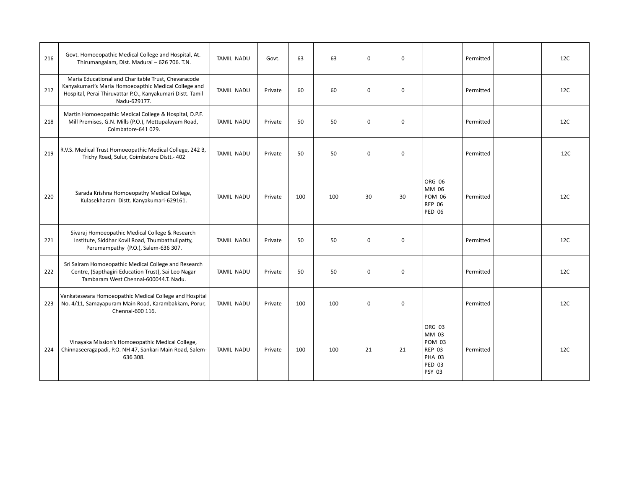| 216 | Govt. Homoeopathic Medical College and Hospital, At.<br>Thirumangalam, Dist. Madurai - 626 706. T.N.                                                                                      | <b>TAMIL NADU</b> | Govt.   | 63  | 63  | $\mathbf 0$ | $\mathbf 0$ |                                                                                                      | Permitted | 12C |
|-----|-------------------------------------------------------------------------------------------------------------------------------------------------------------------------------------------|-------------------|---------|-----|-----|-------------|-------------|------------------------------------------------------------------------------------------------------|-----------|-----|
| 217 | Maria Educational and Charitable Trust, Chevaracode<br>Kanyakumari's Maria Homoeoapthic Medical College and<br>Hospital, Perai Thiruvattar P.O., Kanyakumari Distt. Tamil<br>Nadu-629177. | <b>TAMIL NADU</b> | Private | 60  | 60  | $\mathbf 0$ | $\mathbf 0$ |                                                                                                      | Permitted | 12C |
| 218 | Martin Homoeopathic Medical College & Hospital, D.P.F.<br>Mill Premises, G.N. Mills (P.O.), Mettupalayam Road,<br>Coimbatore-641 029.                                                     | <b>TAMIL NADU</b> | Private | 50  | 50  | $\mathbf 0$ | $\mathbf 0$ |                                                                                                      | Permitted | 12C |
| 219 | R.V.S. Medical Trust Homoeopathic Medical College, 242 B,<br>Trichy Road, Sulur, Coimbatore Distt.- 402                                                                                   | <b>TAMIL NADU</b> | Private | 50  | 50  | $\mathbf 0$ | $\mathbf 0$ |                                                                                                      | Permitted | 12C |
| 220 | Sarada Krishna Homoeopathy Medical College,<br>Kulasekharam Distt. Kanyakumari-629161.                                                                                                    | <b>TAMIL NADU</b> | Private | 100 | 100 | 30          | 30          | ORG 06<br>MM 06<br><b>POM 06</b><br><b>REP 06</b><br><b>PED 06</b>                                   | Permitted | 12C |
| 221 | Sivaraj Homoeopathic Medical College & Research<br>Institute, Siddhar Kovil Road, Thumbathulipatty,<br>Perumampathy (P.O.), Salem-636 307.                                                | <b>TAMIL NADU</b> | Private | 50  | 50  | $\mathbf 0$ | 0           |                                                                                                      | Permitted | 12C |
| 222 | Sri Sairam Homoeopathic Medical College and Research<br>Centre, (Sapthagiri Education Trust), Sai Leo Nagar<br>Tambaram West Chennai-600044.T. Nadu.                                      | <b>TAMIL NADU</b> | Private | 50  | 50  | $\mathbf 0$ | $\mathbf 0$ |                                                                                                      | Permitted | 12C |
| 223 | Venkateswara Homoeopathic Medical College and Hospital<br>No. 4/11, Samayapuram Main Road, Karambakkam, Porur,<br>Chennai-600 116.                                                        | <b>TAMIL NADU</b> | Private | 100 | 100 | $\mathbf 0$ | 0           |                                                                                                      | Permitted | 12C |
| 224 | Vinayaka Mission's Homoeopathic Medical College,<br>Chinnaseeragapadi, P.O. NH 47, Sankari Main Road, Salem-<br>636 308.                                                                  | <b>TAMIL NADU</b> | Private | 100 | 100 | 21          | 21          | ORG 03<br>MM 03<br><b>POM 03</b><br><b>REP 03</b><br><b>PHA 03</b><br><b>PED 03</b><br><b>PSY 03</b> | Permitted | 12C |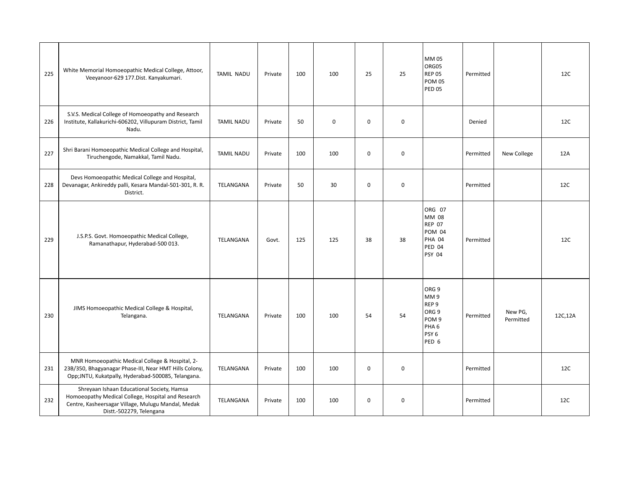| 225 | White Memorial Homoeopathic Medical College, Attoor,<br>Veeyanoor-629 177. Dist. Kanyakumari.                                                                                      | <b>TAMIL NADU</b> | Private | 100 | 100         | 25          | 25          | MM 05<br>ORG05<br><b>REP 05</b><br><b>POM 05</b><br><b>PED 05</b>                                                                    | Permitted |                      | 12C     |
|-----|------------------------------------------------------------------------------------------------------------------------------------------------------------------------------------|-------------------|---------|-----|-------------|-------------|-------------|--------------------------------------------------------------------------------------------------------------------------------------|-----------|----------------------|---------|
| 226 | S.V.S. Medical College of Homoeopathy and Research<br>Institute, Kallakurichi-606202, Villupuram District, Tamil<br>Nadu.                                                          | <b>TAMIL NADU</b> | Private | 50  | $\mathbf 0$ | $\mathbf 0$ | $\mathbf 0$ |                                                                                                                                      | Denied    |                      | 12C     |
| 227 | Shri Barani Homoeopathic Medical College and Hospital,<br>Tiruchengode, Namakkal, Tamil Nadu.                                                                                      | <b>TAMIL NADU</b> | Private | 100 | 100         | $\mathbf 0$ | $\mathbf 0$ |                                                                                                                                      | Permitted | New College          | 12A     |
| 228 | Devs Homoeopathic Medical College and Hospital,<br>Devanagar, Ankireddy palli, Kesara Mandal-501-301, R. R.<br>District.                                                           | TELANGANA         | Private | 50  | 30          | $\mathbf 0$ | $\mathbf 0$ |                                                                                                                                      | Permitted |                      | 12C     |
| 229 | J.S.P.S. Govt. Homoeopathic Medical College,<br>Ramanathapur, Hyderabad-500 013.                                                                                                   | TELANGANA         | Govt.   | 125 | 125         | 38          | 38          | ORG 07<br>MM 08<br><b>REP 07</b><br><b>POM 04</b><br><b>PHA 04</b><br>PED 04<br><b>PSY 04</b>                                        | Permitted |                      | 12C     |
| 230 | JIMS Homoeopathic Medical College & Hospital,<br>Telangana.                                                                                                                        | TELANGANA         | Private | 100 | 100         | 54          | 54          | ORG <sub>9</sub><br>MM9<br>REP <sub>9</sub><br>ORG <sub>9</sub><br>POM <sub>9</sub><br>PHA <sub>6</sub><br>PSY <sub>6</sub><br>PED 6 | Permitted | New PG,<br>Permitted | 12C,12A |
| 231 | MNR Homoeopathic Medical College & Hospital, 2-<br>23B/350, Bhagyanagar Phase-III, Near HMT Hills Colony,<br>Opp;JNTU, Kukatpally, Hyderabad-500085, Telangana.                    | TELANGANA         | Private | 100 | 100         | $\mathbf 0$ | $\mathbf 0$ |                                                                                                                                      | Permitted |                      | 12C     |
| 232 | Shreyaan Ishaan Educational Society, Hamsa<br>Homoeopathy Medical College, Hospital and Research<br>Centre, Kasheersagar Village, Mulugu Mandal, Medak<br>Distt.-502279, Telengana | TELANGANA         | Private | 100 | 100         | $\mathbf 0$ | $\mathbf 0$ |                                                                                                                                      | Permitted |                      | 12C     |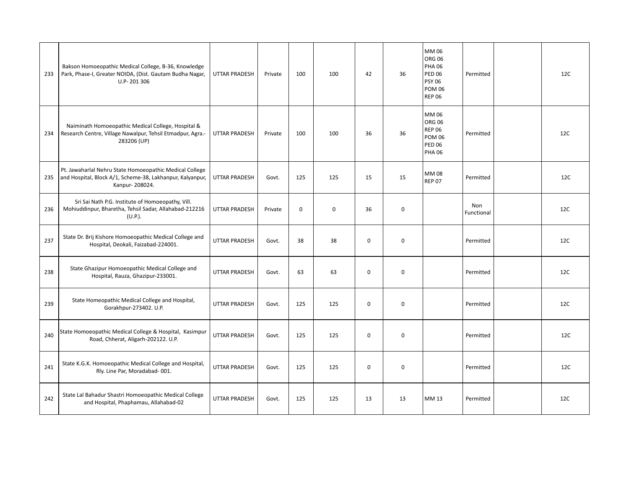| 233 | Bakson Homoeopathic Medical College, B-36, Knowledge<br>Park, Phase-I, Greater NOIDA, (Dist. Gautam Budha Nagar,<br>U.P-201306         | <b>UTTAR PRADESH</b> | Private | 100         | 100         | 42          | 36          | MM 06<br><b>ORG 06</b><br><b>PHA 06</b><br><b>PED 06</b><br><b>PSY 06</b><br><b>POM 06</b><br><b>REP 06</b> | Permitted         | 12C |
|-----|----------------------------------------------------------------------------------------------------------------------------------------|----------------------|---------|-------------|-------------|-------------|-------------|-------------------------------------------------------------------------------------------------------------|-------------------|-----|
| 234 | Naiminath Homoeopathic Medical College, Hospital &<br>Research Centre, Village Nawalpur, Tehsil Etmadpur, Agra.-<br>283206 (UP)        | UTTAR PRADESH        | Private | 100         | 100         | 36          | 36          | MM 06<br><b>ORG 06</b><br><b>REP 06</b><br><b>POM 06</b><br><b>PED 06</b><br><b>PHA 06</b>                  | Permitted         | 12C |
| 235 | Pt. Jawaharlal Nehru State Homoeopathic Medical College<br>and Hospital, Block A/1, Scheme-38, Lakhanpur, Kalyanpur,<br>Kanpur-208024. | <b>UTTAR PRADESH</b> | Govt.   | 125         | 125         | 15          | 15          | <b>MM08</b><br><b>REP 07</b>                                                                                | Permitted         | 12C |
| 236 | Sri Sai Nath P.G. Institute of Homoeopathy, Vill.<br>Mohiuddinpur, Bharetha, Tehsil Sadar, Allahabad-212216<br>$(U.P.)$ .              | <b>UTTAR PRADESH</b> | Private | $\mathbf 0$ | $\mathbf 0$ | 36          | $\mathbf 0$ |                                                                                                             | Non<br>Functional | 12C |
| 237 | State Dr. Brij Kishore Homoeopathic Medical College and<br>Hospital, Deokali, Faizabad-224001.                                         | <b>UTTAR PRADESH</b> | Govt.   | 38          | 38          | $\mathbf 0$ | $\mathbf 0$ |                                                                                                             | Permitted         | 12C |
| 238 | State Ghazipur Homoeopathic Medical College and<br>Hospital, Rauza, Ghazipur-233001.                                                   | <b>UTTAR PRADESH</b> | Govt.   | 63          | 63          | $\mathbf 0$ | $\mathbf 0$ |                                                                                                             | Permitted         | 12C |
| 239 | State Homeopathic Medical College and Hospital,<br>Gorakhpur-273402. U.P.                                                              | <b>UTTAR PRADESH</b> | Govt.   | 125         | 125         | $\mathbf 0$ | $\mathbf 0$ |                                                                                                             | Permitted         | 12C |
| 240 | State Homoeopathic Medical College & Hospital, Kasimpur<br>Road, Chherat, Aligarh-202122. U.P.                                         | <b>UTTAR PRADESH</b> | Govt.   | 125         | 125         | $\mathbf 0$ | $\mathbf 0$ |                                                                                                             | Permitted         | 12C |
| 241 | State K.G.K. Homoeopathic Medical College and Hospital,<br>Rly. Line Par, Moradabad-001.                                               | <b>UTTAR PRADESH</b> | Govt.   | 125         | 125         | $\mathbf 0$ | $\mathbf 0$ |                                                                                                             | Permitted         | 12C |
| 242 | State Lal Bahadur Shastri Homoeopathic Medical College<br>and Hospital, Phaphamau, Allahabad-02                                        | UTTAR PRADESH        | Govt.   | 125         | 125         | 13          | 13          | MM 13                                                                                                       | Permitted         | 12C |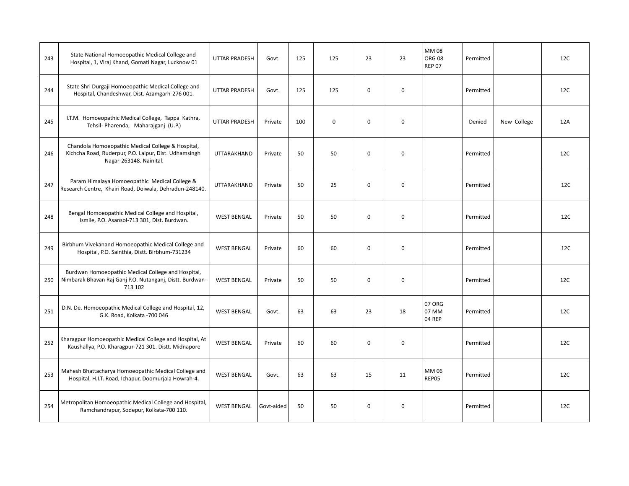| 243 | State National Homoeopathic Medical College and<br>Hospital, 1, Viraj Khand, Gomati Nagar, Lucknow 01                                 | UTTAR PRADESH        | Govt.      | 125 | 125         | 23          | 23          | MM 08<br><b>ORG 08</b><br><b>REP 07</b> | Permitted |             | 12C |
|-----|---------------------------------------------------------------------------------------------------------------------------------------|----------------------|------------|-----|-------------|-------------|-------------|-----------------------------------------|-----------|-------------|-----|
| 244 | State Shri Durgaji Homoeopathic Medical College and<br>Hospital, Chandeshwar, Dist. Azamgarh-276 001.                                 | <b>UTTAR PRADESH</b> | Govt.      | 125 | 125         | $\mathbf 0$ | 0           |                                         | Permitted |             | 12C |
| 245 | I.T.M. Homoeopathic Medical College, Tappa Kathra,<br>Tehsil- Pharenda, Maharajganj (U.P.)                                            | <b>UTTAR PRADESH</b> | Private    | 100 | $\mathbf 0$ | $\mathbf 0$ | $\mathbf 0$ |                                         | Denied    | New College | 12A |
| 246 | Chandola Homoeopathic Medical College & Hospital,<br>Kichcha Road, Ruderpur, P.O. Lalpur, Dist. Udhamsingh<br>Nagar-263148. Nainital. | <b>UTTARAKHAND</b>   | Private    | 50  | 50          | $\mathbf 0$ | 0           |                                         | Permitted |             | 12C |
| 247 | Param Himalaya Homoeopathic Medical College &<br>Research Centre, Khairi Road, Doiwala, Dehradun-248140.                              | UTTARAKHAND          | Private    | 50  | 25          | $\mathbf 0$ | $\mathbf 0$ |                                         | Permitted |             | 12C |
| 248 | Bengal Homoeopathic Medical College and Hospital,<br>Ismile, P.O. Asansol-713 301, Dist. Burdwan.                                     | <b>WEST BENGAL</b>   | Private    | 50  | 50          | $\Omega$    | $\mathbf 0$ |                                         | Permitted |             | 12C |
| 249 | Birbhum Vivekanand Homoeopathic Medical College and<br>Hospital, P.O. Sainthia, Distt. Birbhum-731234                                 | <b>WEST BENGAL</b>   | Private    | 60  | 60          | $\mathbf 0$ | 0           |                                         | Permitted |             | 12C |
| 250 | Burdwan Homoeopathic Medical College and Hospital,<br>Nimbarak Bhavan Raj Ganj P.O. Nutanganj, Distt. Burdwan-<br>713 102             | <b>WEST BENGAL</b>   | Private    | 50  | 50          | $\Omega$    | $\mathbf 0$ |                                         | Permitted |             | 12C |
| 251 | D.N. De. Homoeopathic Medical College and Hospital, 12,<br>G.K. Road, Kolkata -700 046                                                | <b>WEST BENGAL</b>   | Govt.      | 63  | 63          | 23          | 18          | 07 ORG<br>07 MM<br>04 REP               | Permitted |             | 12C |
| 252 | Kharagpur Homoeopathic Medical College and Hospital, At<br>Kaushallya, P.O. Kharagpur-721 301. Distt. Midnapore                       | <b>WEST BENGAL</b>   | Private    | 60  | 60          | $\mathbf 0$ | $\mathbf 0$ |                                         | Permitted |             | 12C |
| 253 | Mahesh Bhattacharya Homoeopathic Medical College and<br>Hospital, H.I.T. Road, Ichapur, Doomurjala Howrah-4.                          | <b>WEST BENGAL</b>   | Govt.      | 63  | 63          | 15          | 11          | MM 06<br>REP05                          | Permitted |             | 12C |
| 254 | Metropolitan Homoeopathic Medical College and Hospital,<br>Ramchandrapur, Sodepur, Kolkata-700 110.                                   | <b>WEST BENGAL</b>   | Govt-aided | 50  | 50          | 0           | $\mathbf 0$ |                                         | Permitted |             | 12C |